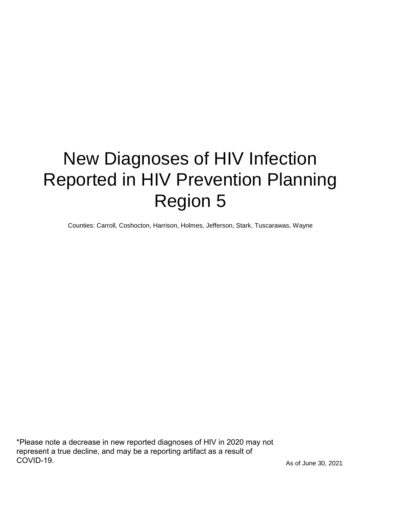# New Diagnoses of HIV Infection Reported in HIV Prevention Planning Region 5

Counties: Carroll, Coshocton, Harrison, Holmes, Jefferson, Stark, Tuscarawas, Wayne

\*Please note a decrease in new reported diagnoses of HIV in 2020 may not represent a true decline, and may be a reporting artifact as a result of COVID-19.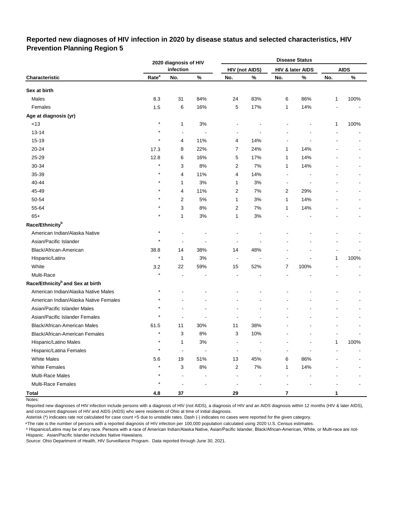## **Reported new diagnoses of HIV infection in 2020 by disease status and selected characteristics, HIV Prevention Planning Region 5**

|                                              |                   | 2020 diagnosis of HIV |       |                         |                       |                         | <b>Disease Status</b> |     |             |
|----------------------------------------------|-------------------|-----------------------|-------|-------------------------|-----------------------|-------------------------|-----------------------|-----|-------------|
|                                              |                   | infection             |       |                         | <b>HIV (not AIDS)</b> |                         | HIV & later AIDS      |     | <b>AIDS</b> |
| Characteristic                               | Rate <sup>a</sup> | No.                   | %     | No.                     | %                     | No.                     | %                     | No. | $\%$        |
| Sex at birth                                 |                   |                       |       |                         |                       |                         |                       |     |             |
| Males                                        | 8.3               | 31                    | 84%   | 24                      | 83%                   | 6                       | 86%                   | 1   | 100%        |
| Females                                      | 1.5               | 6                     | 16%   | 5                       | 17%                   | 1                       | 14%                   |     |             |
| Age at diagnosis (yr)                        |                   |                       |       |                         |                       |                         |                       |     |             |
| $<13$                                        | $\star$           | 1                     | 3%    |                         |                       |                         |                       | 1   | 100%        |
| $13 - 14$                                    |                   | $\blacksquare$        | ÷,    |                         |                       |                         |                       |     |             |
| 15-19                                        |                   | 4                     | 11%   | 4                       | 14%                   |                         |                       |     |             |
| 20-24                                        | 17.3              | 8                     | 22%   | 7                       | 24%                   | 1                       | 14%                   |     |             |
| 25-29                                        | 12.8              | 6                     | 16%   | 5                       | 17%                   | 1                       | 14%                   |     |             |
| 30-34                                        | $\star$           | 3                     | 8%    | 2                       | 7%                    | 1                       | 14%                   |     |             |
| 35-39                                        |                   | 4                     | 11%   | 4                       | 14%                   |                         |                       |     |             |
| 40-44                                        |                   | 1                     | 3%    | 1                       | 3%                    |                         |                       |     |             |
| 45-49                                        |                   | 4                     | 11%   | 2                       | 7%                    | $\overline{2}$          | 29%                   |     |             |
| 50-54                                        |                   | 2                     | $5\%$ | 1                       | 3%                    | 1                       | 14%                   |     |             |
| 55-64                                        |                   | 3                     | 8%    | $\overline{c}$          | 7%                    | 1                       | 14%                   |     |             |
| $65+$                                        |                   | 1                     | 3%    | 1                       | 3%                    |                         |                       |     |             |
| Race/Ethnicity <sup>b</sup>                  |                   |                       |       |                         |                       |                         |                       |     |             |
| American Indian/Alaska Native                | $\star$           |                       |       |                         |                       |                         |                       |     |             |
| Asian/Pacific Islander                       |                   |                       |       |                         |                       |                         |                       |     |             |
| Black/African-American                       | 38.8              | 14                    | 38%   | 14                      | 48%                   |                         |                       |     |             |
| Hispanic/Latinx                              | $\star$           | 1                     | 3%    | $\overline{a}$          |                       |                         |                       | 1   | 100%        |
| White                                        | 3.2               | 22                    | 59%   | 15                      | 52%                   | 7                       | 100%                  |     |             |
| Multi-Race                                   |                   |                       |       |                         |                       |                         |                       |     |             |
| Race/Ethnicity <sup>b</sup> and Sex at birth |                   |                       |       |                         |                       |                         |                       |     |             |
| American Indian/Alaska Native Males          | $\star$           |                       |       |                         |                       |                         |                       |     |             |
| American Indian/Alaska Native Females        |                   |                       |       |                         |                       |                         |                       |     |             |
| Asian/Pacific Islander Males                 |                   |                       |       |                         |                       |                         |                       |     |             |
| Asian/Pacific Islander Females               |                   |                       |       |                         |                       |                         |                       |     |             |
| Black/African-American Males                 | 61.5              | 11                    | 30%   | 11                      | 38%                   |                         |                       |     |             |
| Black/African-American Females               | $\star$           | 3                     | 8%    | 3                       | 10%                   |                         |                       |     |             |
| Hispanic/Latino Males                        | $^\star$          | 1                     | $3%$  |                         |                       |                         |                       | 1   | 100%        |
| Hispanic/Latina Females                      | $\star$           | $\ddot{\phantom{a}}$  |       |                         |                       |                         |                       |     |             |
| <b>White Males</b>                           | 5.6               | 19                    | 51%   | 13                      | 45%                   | 6                       | 86%                   |     |             |
| <b>White Females</b>                         | $\star$           | 3                     | $8\%$ | $\overline{\mathbf{c}}$ | $7\%$                 | 1                       | 14%                   |     |             |
| Multi-Race Males                             | $\star$           | $\overline{a}$        |       | $\blacksquare$          |                       |                         |                       |     |             |
| Multi-Race Females                           | $^\star$          | ÷,                    |       |                         |                       |                         |                       |     |             |
| <b>Total</b>                                 | 4.8               | $37\,$                |       | 29                      |                       | $\overline{\mathbf{r}}$ |                       | 1   |             |

Notes:

Reported new diagnoses of HIV infection include persons with a diagnosis of HIV (not AIDS), a diagnosis of HIV and an AIDS diagnosis within 12 months (HIV & later AIDS), and concurrent diagnoses of HIV and AIDS (AIDS) who were residents of Ohio at time of initial diagnosis.

Asterisk (\*) indicates rate not calculated for case count <5 due to unstable rates. Dash (-) indicates no cases were reported for the given category.

<sup>a</sup>The rate is the number of persons with a reported diagnosis of HIV infection per 100,000 population calculated using 2020 U.S. Census estimates.

ᵇ Hispanics/Latinx may be of any race. Persons with a race of American Indian/Alaska Native, Asian/Pacific Islander, Black/African-American, White, or Multi-race are not-Hispanic. Asian/Pacific Islander includes Native Hawaiians.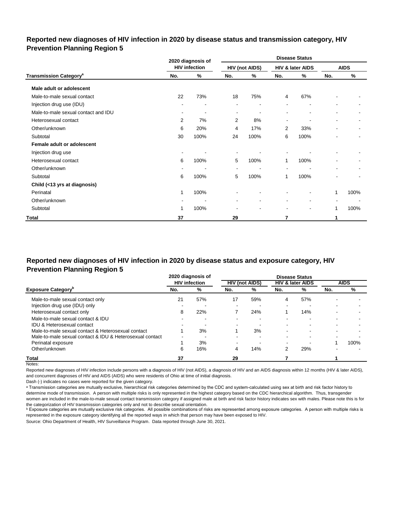## **Reported new diagnoses of HIV infection in 2020 by disease status and transmission category, HIV Prevention Planning Region 5**

|                                          |                          | 2020 diagnosis of        |                |                       | <b>Disease Status</b>    |                          |                |                |  |  |
|------------------------------------------|--------------------------|--------------------------|----------------|-----------------------|--------------------------|--------------------------|----------------|----------------|--|--|
|                                          |                          | <b>HIV</b> infection     |                | <b>HIV (not AIDS)</b> |                          | HIV & later AIDS         |                | <b>AIDS</b>    |  |  |
| <b>Transmission Category<sup>a</sup></b> | No.                      | %                        | No.            | %                     | No.                      | %                        | No.            | $\%$           |  |  |
| Male adult or adolescent                 |                          |                          |                |                       |                          |                          |                |                |  |  |
| Male-to-male sexual contact              | 22                       | 73%                      | 18             | 75%                   | 4                        | 67%                      |                |                |  |  |
| Injection drug use (IDU)                 |                          | -                        | ٠              | ٠                     |                          | $\overline{\phantom{0}}$ |                |                |  |  |
| Male-to-male sexual contact and IDU      | $\sim$                   | $\overline{\phantom{a}}$ | $\blacksquare$ | ٠                     | $\blacksquare$           | $\blacksquare$           |                |                |  |  |
| Heterosexual contact                     | $\overline{2}$           | 7%                       | $\overline{2}$ | 8%                    | $\blacksquare$           | $\blacksquare$           | $\blacksquare$ | $\blacksquare$ |  |  |
| Other/unknown                            | 6                        | 20%                      | 4              | 17%                   | 2                        | 33%                      |                | $\sim$         |  |  |
| Subtotal                                 | 30                       | 100%                     | 24             | 100%                  | 6                        | 100%                     |                |                |  |  |
| Female adult or adolescent               |                          |                          |                |                       |                          |                          |                |                |  |  |
| Injection drug use                       | $\overline{\phantom{a}}$ |                          |                |                       |                          |                          |                |                |  |  |
| Heterosexual contact                     | 6                        | 100%                     | 5              | 100%                  | 1                        | 100%                     |                |                |  |  |
| Other/unknown                            | $\overline{\phantom{a}}$ | $\overline{\phantom{a}}$ | $\sim$         | ٠                     | $\overline{\phantom{a}}$ | $\overline{\phantom{a}}$ |                |                |  |  |
| Subtotal                                 | 6                        | 100%                     | 5              | 100%                  | 1                        | 100%                     |                |                |  |  |
| Child (<13 yrs at diagnosis)             |                          |                          |                |                       |                          |                          |                |                |  |  |
| Perinatal                                | 1                        | 100%                     | ۰              |                       | -                        | $\overline{\phantom{a}}$ | 1              | 100%           |  |  |
| Other/unknown                            |                          |                          | $\blacksquare$ | ۰                     | $\blacksquare$           | $\blacksquare$           |                |                |  |  |
| Subtotal                                 | 1                        | 100%                     |                |                       | $\overline{\phantom{a}}$ | $\overline{\phantom{a}}$ | 1              | 100%           |  |  |
| Total                                    | 37                       |                          | 29             |                       | 7                        |                          |                |                |  |  |

# **Reported new diagnoses of HIV infection in 2020 by disease status and exposure category, HIV Prevention Planning Region 5**

|                                                          |     | 2020 diagnosis of    |                       |     | <b>Disease Status</b> |                             |                          |             |
|----------------------------------------------------------|-----|----------------------|-----------------------|-----|-----------------------|-----------------------------|--------------------------|-------------|
|                                                          |     | <b>HIV</b> infection | <b>HIV (not AIDS)</b> |     |                       | <b>HIV &amp; later AIDS</b> |                          | <b>AIDS</b> |
| <b>Exposure Category</b>                                 | No. | %                    | No.                   | %   | No.                   | %                           | No.                      | %           |
| Male-to-male sexual contact only                         | 21  | 57%                  | 17                    | 59% | 4                     | 57%                         |                          |             |
| Injection drug use (IDU) only                            | -   |                      |                       |     | $\blacksquare$        | -                           | $\overline{\phantom{0}}$ |             |
| Heterosexual contact only                                | 8   | 22%                  |                       | 24% |                       | 14%                         |                          |             |
| Male-to-male sexual contact & IDU                        |     | -                    |                       | -   | ۰                     | -                           |                          |             |
| <b>IDU &amp; Heterosexual contact</b>                    |     |                      |                       |     | ۰                     | ۰                           |                          |             |
| Male-to-male sexual contact & Heterosexual contact       |     | 3%                   |                       | 3%  |                       |                             |                          |             |
| Male-to-male sexual contact & IDU & Heterosexual contact | -   |                      |                       | -   |                       |                             |                          |             |
| Perinatal exposure                                       |     | 3%                   |                       |     | $\blacksquare$        |                             |                          | 100%        |
| Other/unknown                                            | 6   | 16%                  | 4                     | 14% |                       | 29%                         |                          |             |
| <b>Total</b>                                             | 37  |                      | 29                    |     |                       |                             |                          |             |

Notes:

Reported new diagnoses of HIV infection include persons with a diagnosis of HIV (not AIDS), a diagnosis of HIV and an AIDS diagnosis within 12 months (HIV & later AIDS), and concurrent diagnoses of HIV and AIDS (AIDS) who were residents of Ohio at time of initial diagnosis.

Dash (-) indicates no cases were reported for the given category.

a Transmission categories are mutually exclusive, hierarchical risk categories determined by the CDC and system-calculated using sex at birth and risk factor history to determine mode of transmission. A person with multiple risks is only represented in the highest category based on the CDC hierarchical algorithm. Thus, transgender women are included in the male-to-male sexual contact transmission category if assigned male at birth and risk factor history indicates sex with males. Please note this is for the categorization of HIV transmission categories only and not to describe sexual orientation.

**b** Exposure categories are mutually exclusive risk categories. All possible combinations of risks are represented among exposure categories. A person with multiple risks is represented in the exposure category identifying all the reported ways in which that person may have been exposed to HIV.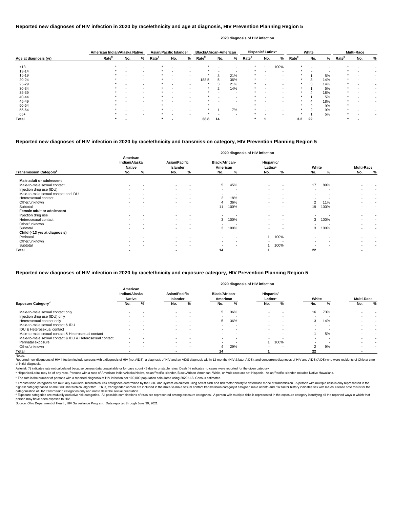|                       | American Indian/Alaska Native |                          |                          | <b>Asian/Pacific Islander</b> |                          |        | <b>Black/African-American</b> |     |     |                   | Hispanic/Latinx <sup>a</sup> |      |                   | White  |     |                   | <b>Multi-Race</b> |   |
|-----------------------|-------------------------------|--------------------------|--------------------------|-------------------------------|--------------------------|--------|-------------------------------|-----|-----|-------------------|------------------------------|------|-------------------|--------|-----|-------------------|-------------------|---|
| Age at diagnosis (yr) | Rate <sup>b</sup>             | No.                      | %                        | <b>Rate</b> <sup>b</sup>      | No.                      | %      | Rate <sup>b</sup>             | No. | %   | Rate <sup>b</sup> | No.                          | %    | Rate <sup>b</sup> | No.    | %   | Rate <sup>b</sup> | No.               | % |
| < 13                  | $\star$                       | $\overline{\phantom{0}}$ |                          |                               |                          |        |                               |     |     |                   |                              | 100% |                   |        |     |                   |                   |   |
| $13 - 14$             |                               |                          | $\sim$                   |                               |                          |        |                               |     |     |                   |                              |      |                   |        |     |                   |                   |   |
| 15-19                 |                               | $\overline{\phantom{0}}$ | $\sim$                   |                               | $\,$ $\,$                | $\sim$ |                               | 3   | 21% |                   |                              |      |                   |        | 5%  |                   |                   |   |
| $20 - 24$             |                               |                          |                          |                               |                          | $\sim$ | 188.5                         |     | 36% |                   |                              |      |                   | 3      | 14% | $\star$           |                   |   |
| 25-29                 |                               |                          |                          |                               | $\overline{\phantom{a}}$ |        |                               |     | 21% |                   |                              |      |                   | 3      | 14% | $\star$           |                   |   |
| 30-34                 |                               |                          |                          |                               |                          |        |                               | ົ   | 14% |                   |                              |      |                   |        | 5%  |                   |                   |   |
| 35-39                 |                               |                          | $\sim$                   |                               |                          |        |                               |     | -   |                   |                              |      |                   |        | 18% | $\star$           |                   |   |
| 40-44                 |                               |                          |                          |                               |                          |        |                               |     |     |                   |                              |      |                   |        | 5%  | $\star$           |                   |   |
| 45-49                 |                               |                          |                          |                               | $\overline{\phantom{a}}$ |        |                               |     | -   |                   |                              |      |                   |        | 18% |                   |                   |   |
| 50-54                 |                               |                          |                          |                               |                          |        |                               |     |     |                   |                              |      |                   |        | 9%  |                   |                   |   |
| 55-64                 |                               |                          |                          |                               |                          |        |                               |     | 7%  |                   |                              |      |                   | $\sim$ | 9%  |                   |                   |   |
| $65+$                 |                               |                          | $\overline{\phantom{a}}$ |                               | $\overline{\phantom{0}}$ |        |                               |     | -   |                   |                              |      |                   |        | 5%  | $\star$           |                   |   |
| Total                 |                               |                          |                          |                               |                          |        | 38.8                          | 14  |     |                   |                              |      | 3.2               | 22     |     |                   |                   |   |

Reported new diagnoses of HIV infection include persons with a diagnosis of HIV (not AIDS), a diagnosis of HIV and an AIDS diagnosis within 12 months (HIV & later AIDS), and concurrent diagnoses of HIV and AIDS (AIDS) who of initial diagnosis.

|                                           |                                            |   |                                  |                          |                                   |                          | 2020 diagnosis of HIV infection  |                          |       |      |                          |        |
|-------------------------------------------|--------------------------------------------|---|----------------------------------|--------------------------|-----------------------------------|--------------------------|----------------------------------|--------------------------|-------|------|--------------------------|--------|
|                                           | American<br>Indian/Alaska<br><b>Native</b> |   | <b>Asian/Pacific</b><br>Islander |                          | <b>Black/African-</b><br>American |                          | Hispanic/<br>Latinx <sup>a</sup> |                          | White |      | <b>Multi-Race</b>        |        |
| <b>Transmission Category</b> <sup>c</sup> | No.                                        | % | No.                              | %                        | No.                               | %                        | No.                              | %                        | No.   | %    | No.                      | %      |
| Male adult or adolescent                  |                                            |   |                                  |                          |                                   |                          |                                  |                          |       |      |                          |        |
| Male-to-male sexual contact               | $\sim$                                     |   | $\sim$                           | $\overline{\phantom{a}}$ | 5                                 | 45%                      | $\blacksquare$                   | $\blacksquare$           | 17    | 89%  |                          |        |
| Injection drug use (IDU)                  | $\blacksquare$                             |   | $\sim$                           | $\overline{\phantom{a}}$ | $\sim$                            | $\overline{\phantom{a}}$ | $\sim$                           | $\overline{\phantom{a}}$ |       |      |                          |        |
| Male-to-male sexual contact and IDU       | $\overline{\phantom{a}}$                   |   | $\sim$                           | $\overline{\phantom{a}}$ | $\sim$                            | - 1                      | $\,$                             | $\,$ $\,$                |       |      | $\,$                     |        |
| Heterosexual contact                      | $\blacksquare$                             |   | $\sim$                           | $\overline{\phantom{a}}$ | 2                                 | 18%                      | $\overline{\phantom{a}}$         | $\overline{\phantom{a}}$ |       |      | $\blacksquare$           |        |
| Other/unknown                             | $\overline{\phantom{0}}$                   |   | $\sim$                           | $\overline{\phantom{a}}$ |                                   | 36%                      | $\overline{a}$                   | $\overline{\phantom{a}}$ | 2     | 11%  | $\blacksquare$           | $\sim$ |
| Subtotal                                  |                                            |   |                                  |                          | 11                                | 100%                     | $\overline{a}$                   | $\overline{\phantom{0}}$ | 19    | 100% |                          |        |
| Female adult or adolescent                |                                            |   |                                  |                          |                                   |                          |                                  |                          |       |      |                          |        |
| Injection drug use                        | $\sim$                                     |   | $\sim$                           | $\overline{\phantom{a}}$ |                                   |                          | $\blacksquare$                   | $\overline{\phantom{a}}$ |       |      | $\overline{\phantom{0}}$ |        |
| Heterosexual contact                      |                                            |   | $\sim$                           | $\overline{\phantom{a}}$ | 3                                 | 100%                     |                                  | $\overline{\phantom{0}}$ | 3     | 100% |                          |        |
| Other/unknown                             |                                            |   | $\sim$                           | $\overline{\phantom{0}}$ |                                   |                          |                                  | $\overline{\phantom{0}}$ |       |      |                          |        |
| Subtotal                                  | $\sim$                                     |   | $\sim$                           | $\overline{\phantom{a}}$ | 3                                 | 100%                     | $\blacksquare$                   | $\,$ $\,$                | 3     | 100% | $\,$                     |        |
| Child (<13 yrs at diagnosis)              |                                            |   |                                  |                          |                                   |                          |                                  |                          |       |      |                          |        |
| Perinatal                                 |                                            |   |                                  |                          |                                   |                          |                                  | 100%                     |       |      |                          |        |
| Other/unknown                             | $\blacksquare$                             |   | $\sim$                           | $\overline{\phantom{a}}$ | $\,$                              | $\overline{\phantom{a}}$ |                                  |                          |       |      | $\,$                     |        |
| Subtotal                                  |                                            |   | $\sim$                           |                          | $\blacksquare$                    |                          |                                  | 100%                     |       |      |                          |        |
| <b>Total</b>                              |                                            |   | $\overline{\phantom{a}}$         |                          | 14                                |                          |                                  |                          | 22    |      | ٠                        |        |

© Transmission categories are mutually exclusive, hierarchical risk categories determined by the CDC and system-calculated using sex at birth and risk factor history to determine mode of transmission. A person with multip highest category based on the CDC hierarchical algorithm. Thus, transgender women are included in the male-to-male sexual contact transmission category if assigned male at birth and risk factor history indicates sex with m categorization of HIV transmission categories only and not to describe sexual orientation.

#### **Reported new diagnoses of HIV infection in 2020 by race/ethnicity and age at diagnosis, HIV Prevention Planning Region 5**

d Exposure categories are mutually exclusive risk categories. All possible combinations of risks are represented among exposure categories. A person with multiple risks is represented in the exposure category identifying a person may have been exposed to HIV.

Source: Ohio Department of Health, HIV Surveillance Program. Data reported through June 30, 2021.

#### **2020 diagnosis of HIV infection**

## **Reported new diagnoses of HIV infection in 2020 by race/ethnicity and transmission category, HIV Prevention Planning Region 5**

|                                                          |                                            |     |                                  |                          |                                   |     | 2020 diagnosis of HIV infection  |                          |                          |                          |                   |        |
|----------------------------------------------------------|--------------------------------------------|-----|----------------------------------|--------------------------|-----------------------------------|-----|----------------------------------|--------------------------|--------------------------|--------------------------|-------------------|--------|
|                                                          | American<br>Indian/Alaska<br><b>Native</b> |     | <b>Asian/Pacific</b><br>Islander |                          | <b>Black/African-</b><br>American |     | Hispanic/<br>Latinx <sup>a</sup> |                          | White                    |                          | <b>Multi-Race</b> |        |
| <b>Exposure Category<sup>d</sup></b>                     | No.                                        | %   | No.                              | %                        | No.                               | %   | No.                              |                          | No.                      |                          | No.               | %      |
| Male-to-male sexual contact only                         |                                            |     | $\sim$                           |                          | 5                                 | 36% | $\overline{\phantom{0}}$         | $\overline{\phantom{0}}$ | 16                       | 73%                      |                   |        |
| Injection drug use (IDU) only                            |                                            |     | $\sim$                           | $\overline{\phantom{a}}$ | -                                 |     | $\overline{\phantom{0}}$         | $\overline{\phantom{a}}$ |                          |                          |                   |        |
| Heterosexual contact only                                | $\overline{\phantom{a}}$                   | . . | <b>Contract</b>                  | $\sim$                   | 5                                 | 36% | $\overline{\phantom{0}}$         | $\sim$                   | 3                        | 14%                      |                   |        |
| Male-to-male sexual contact & IDU                        |                                            |     | $\sim$                           |                          |                                   |     |                                  |                          |                          |                          |                   |        |
| IDU & Heterosexual contact                               | $\overline{\phantom{0}}$                   |     | $\sim$                           | $\overline{\phantom{a}}$ | $\sim$                            | -   | $\overline{\phantom{0}}$         | $\overline{a}$           |                          |                          |                   | $\sim$ |
| Male-to-male sexual contact & Heterosexual contact       |                                            |     |                                  |                          |                                   | -   |                                  | $\overline{\phantom{a}}$ |                          | 5%                       |                   |        |
| Male-to-male sexual contact & IDU & Heterosexual contact |                                            |     |                                  | . .                      |                                   | -   |                                  |                          |                          |                          |                   |        |
| Perinatal exposure                                       | $\overline{\phantom{a}}$                   |     | $\sim$                           | $\overline{\phantom{a}}$ | $\sim$                            | -   |                                  | 100%                     | $\overline{\phantom{0}}$ | $\overline{\phantom{a}}$ |                   |        |
| Other/unknown                                            | $\overline{\phantom{0}}$                   |     | $\sim$                           |                          | 4                                 | 29% |                                  | $\overline{\phantom{a}}$ | າ                        | 9%                       |                   |        |
| Total                                                    |                                            |     |                                  |                          | 14                                |     |                                  |                          | 22                       |                          |                   |        |
| Notes:                                                   |                                            |     |                                  |                          |                                   |     |                                  |                          |                          |                          |                   |        |

## **Reported new diagnoses of HIV infection in 2020 by race/ethnicity and exposure category, HIV Prevention Planning Region 5**

Asterisk (\*) indicates rate not calculated because census data unavailable or for case count <5 due to unstable rates. Dash (-) indicates no cases were reported for the given category.

a Hispanics/Latinx may be of any race. Persons with a race of American Indian/Alaska Native, Asian/Pacific Islander, Black/African-American, White, or Multi-race are not-Hispanic. Asian/Pacific Islander includes Native Haw

ᵇ The rate is the number of persons with a reported diagnosis of HIV infection per 100,000 population calculated using 2020 U.S. Census estimates.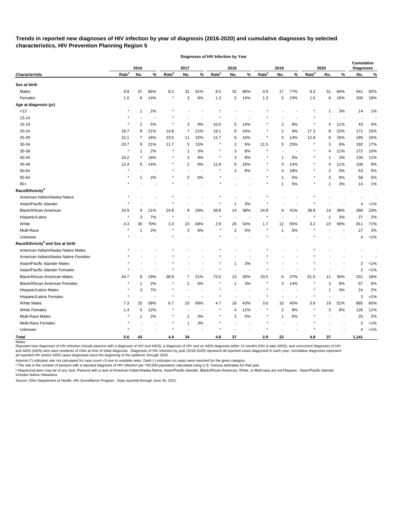# **Trends in reported new diagnoses of HIV infection by year of diagnosis (2016-2020) and cumulative diagnoses by selected characteristics, HIV Prevention Planning Region 5**

|                                              |                   | 2016 |      |                   | 2017                    |        |                   | 2018           |                          |                   | 2019           |        |                   | 2020           |                          | <b>Cumulative</b><br><b>Diagnoses</b> |         |
|----------------------------------------------|-------------------|------|------|-------------------|-------------------------|--------|-------------------|----------------|--------------------------|-------------------|----------------|--------|-------------------|----------------|--------------------------|---------------------------------------|---------|
| Characteristic                               | Rate <sup>a</sup> | No.  | $\%$ | Rate <sup>a</sup> | No.                     | %      | Rate <sup>a</sup> | No.            | $\%$                     | Rate <sup>a</sup> | No.            | %      | Rate <sup>a</sup> | No.            | %                        | No.                                   | %       |
| Sex at birth                                 |                   |      |      |                   |                         |        |                   |                |                          |                   |                |        |                   |                |                          |                                       |         |
| Males                                        | 9.8               | 37   | 86%  | 8.2               | 31                      | 91%    | 8.5               | 32             | 86%                      | 4.5               | 17             | 77%    | 8.3               | 31             | 84%                      | 941                                   | 82%     |
| Females                                      | 1.5               | 6    | 14%  | $\star$           | 3                       | 9%     | 1.3               | 5              | 14%                      | 1.3               | 5              | 23%    | 1.5               | 6              | 16%                      | 200                                   | 18%     |
| Age at diagnosis (yr)                        |                   |      |      |                   |                         |        |                   |                |                          |                   |                |        |                   |                |                          |                                       |         |
| < 13                                         |                   |      | 2%   |                   |                         |        |                   |                |                          |                   |                |        |                   | 1              | 3%                       | 14                                    | 1%      |
| $13 - 14$                                    |                   |      |      |                   |                         |        |                   |                |                          |                   |                |        |                   |                |                          |                                       |         |
| 15-19                                        |                   | 2    | 5%   | $\ast$            | 3                       | 9%     | 10.0              | 5              | 14%                      |                   | $\overline{2}$ | 9%     |                   | 4              | 11%                      | 43                                    | 4%      |
| 20-24                                        | 18.7              | 9    | 21%  | 14.8              | 7                       | 21%    | 19.1              | 9              | 24%                      | $\ast$            | $\overline{2}$ | 9%     | 17.3              | 8              | 22%                      | 172                                   | 15%     |
| 25-29                                        | 15.1              | 7    | 16%  | 23.5              | 11                      | 32%    | 12.7              | 6              | 16%                      |                   | 3              | 14%    | 12.8              | 6              | 16%                      | 185                                   | 16%     |
| 30-34                                        | 20.7              | 9    | 21%  | 11.7              | 5                       | 15%    |                   | 2              | 5%                       | 11.5              | 5              | 23%    |                   | 3              | 8%                       | 192                                   | 17%     |
| 35-39                                        |                   |      | 2%   | $\star$           | -1                      | 3%     |                   | 3              | 8%                       |                   |                |        |                   | 4              | 11%                      | 172                                   | 15%     |
| 40-44                                        | 16.2              | 7    | 16%  | $\ast$            | 3                       | 9%     | $^\ast$           | 3              | 8%                       |                   | -1             | 5%     | $\ast$            |                | 3%                       | 130                                   | 11%     |
| 45-49                                        | 12.4              | 6    | 14%  | $\star$           | $\overline{2}$          | 6%     | 12.8              | 6              | 16%                      | $^\ast$           | 3              | 14%    | $\ast$            | $\overline{4}$ | 11%                      | 108                                   | 9%      |
| 50-54                                        |                   |      |      |                   |                         |        |                   | 3              | 8%                       |                   | 4              | 18%    |                   | 2              | 5%                       | 53                                    | $5\%$   |
| 55-64                                        |                   |      | 2%   |                   | $\overline{c}$          | 6%     |                   |                |                          |                   |                | 5%     |                   | 3              | 8%                       | 58                                    | 5%      |
| $65+$                                        |                   |      |      |                   |                         |        |                   |                |                          |                   |                | 5%     |                   |                | 3%                       | 14                                    | 1%      |
| Race/Ethnicity <sup>b</sup>                  |                   |      |      |                   |                         |        |                   |                |                          |                   |                |        |                   |                |                          |                                       |         |
| American Indian/Alaska Native                |                   |      |      |                   |                         |        |                   |                |                          |                   |                |        |                   |                |                          |                                       |         |
| Asian/Pacific Islander                       |                   |      |      |                   |                         |        |                   |                | 3%                       |                   |                |        |                   |                |                          | 4                                     | $< 1\%$ |
| Black/African-American                       | 24.9              | 9    | 21%  | 24.9              | 9                       | 26%    | 38.8              | 14             | 38%                      | 24.9              | 9              | 41%    | 38.8              | 14             | 38%                      | 268                                   | 23%     |
| Hispanic/Latinx                              |                   | 3    | 7%   | $\star$           |                         |        |                   |                |                          |                   |                |        |                   | -1             | 3%                       | 27                                    | 2%      |
| White                                        | 4.3               | 30   | 70%  | 3.3               | 23                      | 68%    | 2.9               | 20             | 54%                      | 1.7               | 12             | 55%    | 3.2               | 22             | 59%                      | 811                                   | 71%     |
| Multi-Race                                   |                   |      | 2%   | $\star$           | $\overline{\mathbf{c}}$ | 6%     | $\ast$            | 2              | 5%                       | $\ast$            | 1              | 5%     |                   |                |                          | 27                                    | 2%      |
| Unknown                                      |                   |      |      |                   |                         |        |                   |                |                          |                   |                |        |                   |                |                          | 4                                     | 1%      |
| Race/Ethnicity <sup>b</sup> and Sex at birth |                   |      |      |                   |                         |        |                   |                |                          |                   |                |        |                   |                |                          |                                       |         |
| American Indian/Alaska Native Males          |                   |      |      |                   |                         |        |                   |                |                          |                   |                |        |                   |                |                          |                                       |         |
| American Indian/Alaska Native Females        |                   |      |      |                   |                         |        |                   |                |                          |                   |                |        |                   |                |                          |                                       |         |
| Asian/Pacific Islander Males                 |                   |      |      |                   |                         |        |                   | -1             | 3%                       |                   |                |        |                   |                |                          | 2                                     | $< 1\%$ |
| Asian/Pacific Islander Females               |                   |      |      |                   |                         |        |                   |                |                          |                   |                |        |                   |                |                          | 2                                     | $< 1\%$ |
| Black/African-American Males                 | 44.7              | 8    | 19%  | 38.9              | 7                       | 21%    | 72.6              | 13             | 35%                      | 33.5              | 6              | 27%    | 61.5              | 11             | 30%                      | 201                                   | 18%     |
| Black/African-American Females               |                   |      | 2%   |                   | 2                       | 6%     |                   | -1             | 3%                       |                   | 3              | 14%    |                   | 3              | $8%$                     | 67                                    | 6%      |
| Hispanic/Latino Males                        |                   | 3    | 7%   |                   |                         |        |                   |                |                          |                   |                | $\sim$ |                   | 1              | $3\%$                    | 24                                    | 2%      |
| Hispanic/Latina Females                      |                   |      |      | $\star$           |                         |        |                   |                |                          | $\star$           |                |        | $\star$           |                | $\overline{\phantom{a}}$ | 3                                     | $< 1\%$ |
| White Males                                  | 7.3               | 25   | 58%  | 6.7               | 23                      | 68%    | 4.7               | 16             | 43%                      | 3.0               | 10             | 45%    | 5.6               | 19             | 51%                      | 685                                   | 60%     |
| <b>White Females</b>                         | 1.4               | 5    | 12%  | $\star$           |                         | $\sim$ | $\star$           | $\overline{4}$ | 11%                      |                   | $\overline{2}$ | $9\%$  |                   | 3              | 8%                       | 126                                   | 11%     |
| Multi-Race Males                             |                   |      | 2%   |                   | -1                      | $3%$   |                   | $\overline{2}$ | $5\%$                    |                   | $\mathbf{1}$   | $5\%$  |                   |                | $\sim$                   | 25                                    | 2%      |
| Multi-Race Females                           |                   |      |      | $\star$           | -1                      | 3%     | $\star$           |                | $\overline{\phantom{a}}$ |                   |                | $\sim$ |                   |                |                          | 2                                     | $< 1\%$ |
| Unknown                                      |                   |      |      | $\star$           |                         |        |                   |                |                          |                   |                |        |                   |                |                          | 4                                     | $< 1\%$ |
| <b>Total</b>                                 | 5.6               | 43   |      | 4.4               | 34                      |        | 4.8               | 37             |                          | 2.9               | 22             |        | 4.8               | 37             |                          | 1,141                                 |         |
| Notes:                                       |                   |      |      |                   |                         |        |                   |                |                          |                   |                |        |                   |                |                          |                                       |         |

**Diagnoses of HIV Infection by Year**

Reported new diagnoses of HIV infection include persons with a diagnosis of HIV (not AIDS), a diagnosis of HIV and an AIDS diagnosis within 12 months (HIV & later AIDS), and concurrent diagnoses of HIV and AIDS (AIDS) who were residents of Ohio at time of initial diagnosis. Diagnoses of HIV infection by year (2016-2020) represent all reported cases diagnosed in each year; cumulative diagnoses represent

all reported HIV and/or AIDS cases diagnosed since the beginning of the epidemic through 2020.

Asterisk (\*) indicates rate not calculated for case count <5 due to unstable rates. Dash (-) indicates no cases were reported for the given category.

 $\,{}^{\rm a}$  The rate is the number of persons with a reported diagnosis of HIV infection per 100,000 population calculated using U.S. Census estimates for that year.

ᵇ Hispanics/Latinx may be of any race. Persons with a race of American Indian/Alaska Native, Asian/Pacific Islander, Black/African-American, White, or Multi-race are not-Hispanic. Asian/Pacific Islander includes Native Hawaiians.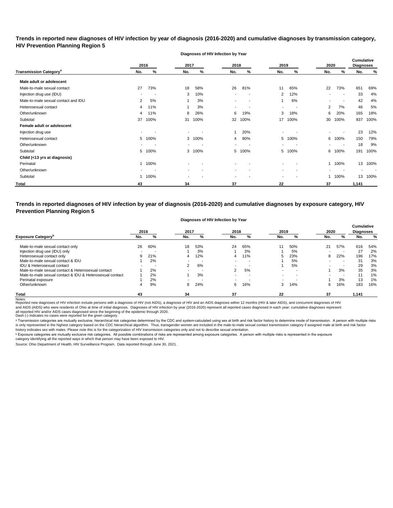**Trends in reported new diagnoses of HIV infection by year of diagnosis (2016-2020) and cumulative diagnoses by transmission category, HIV Prevention Planning Region 5**

**Diagnoses of HIV Infection by Year**

|                                          |                | 2016 | 2017   |      | 2018                     |      | 2019                     |      | 2020           |                          | <b>Cumulative</b><br><b>Diagnoses</b> |      |
|------------------------------------------|----------------|------|--------|------|--------------------------|------|--------------------------|------|----------------|--------------------------|---------------------------------------|------|
| <b>Transmission Category<sup>a</sup></b> | No.            | %    | No.    | $\%$ | No.                      | %    | No.                      | %    | No.            | %                        | No.                                   | %    |
| Male adult or adolescent                 |                |      |        |      |                          |      |                          |      |                |                          |                                       |      |
| Male-to-male sexual contact              | 27             | 73%  | 18     | 58%  | 26                       | 81%  | 11                       | 65%  | 22             | 73%                      | 651                                   | 69%  |
| Injection drug use (IDU)                 |                |      | 3      | 10%  | $\overline{\phantom{a}}$ |      | $\overline{2}$           | 12%  | $\blacksquare$ | $\blacksquare$           | 33                                    | 4%   |
| Male-to-male sexual contact and IDU      | $\overline{2}$ | 5%   |        | 3%   |                          |      |                          | 6%   |                |                          | 42                                    | 4%   |
| Heterosexual contact                     | 4              | 11%  |        | 3%   | $\blacksquare$           |      | $\,$                     |      | $\overline{2}$ | 7%                       | 46                                    | 5%   |
| Other/unknown                            | 4              | 11%  | 8      | 26%  | 6                        | 19%  | 3                        | 18%  | 6              | 20%                      | 165                                   | 18%  |
| Subtotal                                 | 37             | 100% | 31     | 100% | 32                       | 100% | 17                       | 100% | 30             | 100%                     | 937                                   | 100% |
| Female adult or adolescent               |                |      |        |      |                          |      |                          |      |                |                          |                                       |      |
| Injection drug use                       |                |      | $\sim$ |      |                          | 20%  |                          |      | $\blacksquare$ |                          | 23                                    | 12%  |
| Heterosexual contact                     | 5              | 100% | 3      | 100% | 4                        | 80%  | 5                        | 100% |                | 6 100%                   | 150                                   | 79%  |
| Other/unknown                            |                |      | $\sim$ |      | $\overline{\phantom{a}}$ |      | ۰.                       |      | $\sim$         | $\blacksquare$           | 18                                    | 9%   |
| Subtotal                                 | 5              | 100% | 3      | 100% | 5                        | 100% | 5                        | 100% |                | 6 100%                   | 191                                   | 100% |
| Child (<13 yrs at diagnosis)             |                |      |        |      |                          |      |                          |      |                |                          |                                       |      |
| Perinatal                                |                | 100% |        |      | $\overline{\phantom{a}}$ |      |                          |      |                | 1 100%                   | 13                                    | 100% |
| Other/unknown                            |                |      |        |      | $\overline{\phantom{a}}$ |      |                          |      |                | $\overline{\phantom{a}}$ | $\blacksquare$                        |      |
| Subtotal                                 |                | 100% |        |      | $\overline{\phantom{0}}$ |      | $\overline{\phantom{0}}$ |      |                | 1 100%                   | 13                                    | 100% |
| Total                                    | 43             |      | 34     |      | 37                       |      | 22                       |      | 37             |                          | 1,141                                 |      |

**Trends in reported diagnoses of HIV infection by year of diagnosis (2016-2020) and cumulative diagnoses by exposure category, HIV Prevention Planning Region 5**

#### **Diagnoses of HIV Infection by Year**

|                                                          | 2016 |     | 2017 |                          | 2018                     |     | 2019 |                          | 2020 |     | <b>Cumulative</b><br><b>Diagnoses</b> |       |
|----------------------------------------------------------|------|-----|------|--------------------------|--------------------------|-----|------|--------------------------|------|-----|---------------------------------------|-------|
| <b>Exposure Category</b> <sup>p</sup>                    | No.  | %   | No.  | %                        | No.                      | %   | No.  | %                        | No.  | %   | No.                                   | %     |
| Male-to-male sexual contact only                         | 26   | 60% | 18   | 53%                      | 24                       | 65% | 11   | 50%                      | 21   | 57% | 616                                   | 54%   |
| Injection drug use (IDU) only                            |      |     |      | 3%                       |                          | 3%  |      | 5%                       |      | . . | 27                                    | 2%    |
| Heterosexual contact only                                |      | 21% | 4    | 12%                      | 4                        | 11% | 5.   | 23%                      | 8    | 22% | 196                                   | 17%   |
| Male-to-male sexual contact & IDU                        |      | 2%  | -    | $\overline{\phantom{a}}$ |                          | -   |      | 5%                       |      | . . | 31                                    | 3%    |
| IDU & Heterosexual contact                               |      |     | 2    | 6%                       | $\overline{\phantom{a}}$ | -   |      | 5%                       |      |     | 29                                    | 3%    |
| Male-to-male sexual contact & Heterosexual contact       |      | 2%  | -    | $\overline{\phantom{a}}$ | 2                        | 5%  |      | $\overline{\phantom{a}}$ |      | 3%  | 35                                    | 3%    |
| Male-to-male sexual contact & IDU & Heterosexual contact |      | 2%  |      | 3%                       |                          |     |      |                          |      |     |                                       | $1\%$ |
| Perinatal exposure                                       |      | 2%  |      |                          |                          |     |      |                          |      | 3%  | 13                                    | $1\%$ |
| Other/unknown                                            |      | 9%  | 8    | 24%                      | 6                        | 16% | 3    | 14%                      | 6    | 16% | 183                                   | 16%   |
| <b>Total</b>                                             | 43   |     | 34   |                          | 37                       |     | 22   |                          | 37   |     | 1,141                                 |       |

Notes:<br>Reported new diagnoses of HIV infection include persons with a diagnosis of HIV (not AIDS), a diagnosis of HIV and an AIDS diagnosis within 12 months (HIV & later AIDS), and concurrent diagnoses of HIV and AIDS (AIDS) who were residents of Ohio at time of initial diagnosis. Diagnoses of HIV infection by year (2016-2020) represent all reported cases diagnosed in each year; cumulative diagnoses represent

all reported HIV and/or AIDS cases diagnosed since the beginning of the epidemic through 2020.<br>Dash (-) indicates no cases were reported for the given category.

a Transmission categories are mutually exclusive, hierarchical risk categories determined by the CDC and system-calculated using sex at birth and risk factor history to determine mode of transmission. A person with multipl is only represented in the highest category based on the CDC hierarchical algorithm. Thus, transgender women are included in the male-to-male sexual contact transmission category if assigned male at birth and risk factor history indicates sex with males. Please note this is for the categorization of HIV transmission categories only and not to describe sexual orientation.

 $^{\rm b}$  Exposure categories are mutually exclusive risk categories. All possible combinations of risks are represented among exposure categories. A person with multiple risks is represented in the exposure

category identifying all the reported ways in which that person may have been exposed to HIV.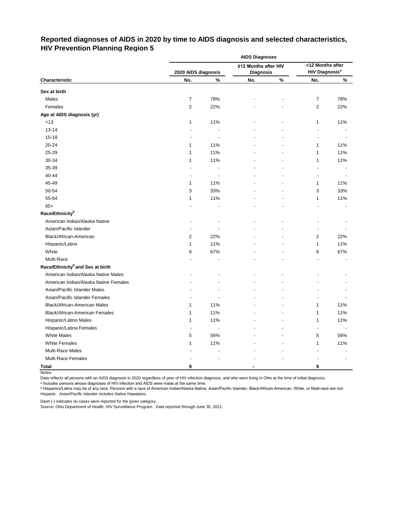# **Reported diagnoses of AIDS in 2020 by time to AIDS diagnosis and selected characteristics, HIV Prevention Planning Region 5**

|                                              | <b>AIDS Diagnoses</b><br><12 Months after |      |                      |      |                                  |      |  |  |  |  |
|----------------------------------------------|-------------------------------------------|------|----------------------|------|----------------------------------|------|--|--|--|--|
|                                              |                                           |      | ≥12 Months after HIV |      |                                  |      |  |  |  |  |
|                                              | 2020 AIDS diagnosis                       |      | <b>Diagnosis</b>     |      | <b>HIV Diagnosis<sup>a</sup></b> |      |  |  |  |  |
| Characteristic                               | No.                                       | $\%$ | No.                  | $\%$ | No.                              | $\%$ |  |  |  |  |
| Sex at birth                                 |                                           |      |                      |      |                                  |      |  |  |  |  |
| Males                                        | $\overline{7}$                            | 78%  |                      |      | $\overline{7}$                   | 78%  |  |  |  |  |
| Females                                      | $\overline{\mathbf{c}}$                   | 22%  |                      |      | $\overline{\mathbf{c}}$          | 22%  |  |  |  |  |
| Age at AIDS diagnosis (yr)                   |                                           |      |                      |      |                                  |      |  |  |  |  |
| $<13$                                        | 1                                         | 11%  |                      |      | 1                                | 11%  |  |  |  |  |
| $13 - 14$                                    |                                           |      |                      |      |                                  |      |  |  |  |  |
| 15-19                                        |                                           |      |                      |      | $\overline{\phantom{a}}$         |      |  |  |  |  |
| 20-24                                        | 1                                         | 11%  |                      |      | 1                                | 11%  |  |  |  |  |
| 25-29                                        | 1                                         | 11%  |                      |      | 1                                | 11%  |  |  |  |  |
| 30-34                                        | 1                                         | 11%  |                      |      | 1                                | 11%  |  |  |  |  |
| 35-39                                        |                                           |      |                      |      |                                  |      |  |  |  |  |
| 40-44                                        | ٠                                         |      |                      |      | ٠                                |      |  |  |  |  |
| 45-49                                        | 1                                         | 11%  |                      |      | 1                                | 11%  |  |  |  |  |
| 50-54                                        | 3                                         | 33%  |                      |      | 3                                | 33%  |  |  |  |  |
| 55-64                                        | 1                                         | 11%  |                      |      | 1                                | 11%  |  |  |  |  |
| $65+$                                        |                                           |      |                      |      |                                  |      |  |  |  |  |
| Race/Ethnicity <sup>b</sup>                  |                                           |      |                      |      |                                  |      |  |  |  |  |
| American Indian/Alaska Native                |                                           |      |                      |      |                                  |      |  |  |  |  |
| Asian/Pacific Islander                       |                                           |      |                      |      |                                  |      |  |  |  |  |
| Black/African-American                       | 2                                         | 22%  |                      |      | 2                                | 22%  |  |  |  |  |
| Hispanic/Latinx                              | 1                                         | 11%  |                      |      | 1                                | 11%  |  |  |  |  |
| White                                        | 6                                         | 67%  |                      |      | 6                                | 67%  |  |  |  |  |
| Multi-Race                                   |                                           |      |                      |      |                                  |      |  |  |  |  |
| Race/Ethnicity <sup>b</sup> and Sex at birth |                                           |      |                      |      |                                  |      |  |  |  |  |
| American Indian/Alaska Native Males          |                                           |      |                      |      |                                  |      |  |  |  |  |
| American Indian/Alaska Native Females        |                                           |      |                      |      |                                  |      |  |  |  |  |
| Asian/Pacific Islander Males                 |                                           |      |                      |      |                                  |      |  |  |  |  |
| Asian/Pacific Islander Females               |                                           |      |                      |      |                                  |      |  |  |  |  |
| Black/African-American Males                 | 1                                         | 11%  |                      |      | 1                                | 11%  |  |  |  |  |
| Black/African-American Females               | 1                                         | 11%  |                      |      | 1                                | 11%  |  |  |  |  |
| Hispanic/Latino Males                        | 1                                         | 11%  |                      |      | 1                                | 11%  |  |  |  |  |
| Hispanic/Latina Females                      | $\blacksquare$                            |      |                      |      |                                  |      |  |  |  |  |
| <b>White Males</b>                           | 5                                         | 56%  |                      |      | 5                                | 56%  |  |  |  |  |
| <b>White Females</b>                         | 1                                         | 11%  |                      |      | 1                                | 11%  |  |  |  |  |
| Multi-Race Males                             |                                           |      |                      |      |                                  |      |  |  |  |  |
| Multi-Race Females                           |                                           |      |                      |      |                                  |      |  |  |  |  |
| <b>Total</b>                                 | 9                                         |      |                      |      | 9                                |      |  |  |  |  |

Notes:

Data reflects all persons with an AIDS diagnosis in 2020 regardless of year of HIV infection diagnosis, and who were living in Ohio at the time of initial diagnosis.

ᵃ Includes persons whose diagnoses of HIV infection and AIDS were made at the same time.

<u>b Hispanics/Latinx may be of any race. Persons with a race of American Indian/Alaska Native, Asian/Pacific Islander, Black/African-American, White, or Multi-race are not-</u> Hispanic. Asian/Pacific Islander includes Native Hawaiians.

Dash (-) indicates no cases were reported for the given category.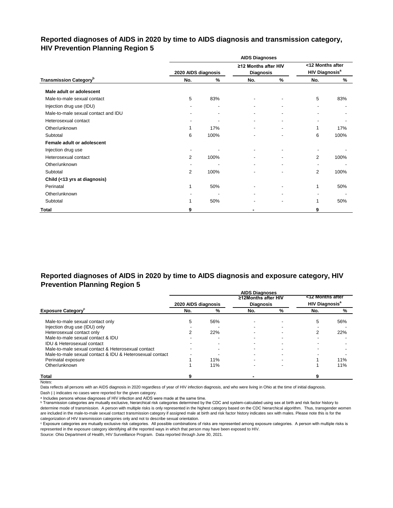# **Reported diagnoses of AIDS in 2020 by time to AIDS diagnosis and transmission category, HIV Prevention Planning Region 5**

|                                           |                     |                | <b>AIDS Diagnoses</b>                    |               |                                                      |      |
|-------------------------------------------|---------------------|----------------|------------------------------------------|---------------|------------------------------------------------------|------|
|                                           | 2020 AIDS diagnosis |                | ≥12 Months after HIV<br><b>Diagnosis</b> |               | <12 Months after<br><b>HIV Diagnosis<sup>a</sup></b> |      |
| <b>Transmission Category</b> <sup>b</sup> | No.                 | %              | No.                                      | $\frac{9}{6}$ | No.                                                  | %    |
| Male adult or adolescent                  |                     |                |                                          |               |                                                      |      |
| Male-to-male sexual contact               | 5                   | 83%            |                                          |               | 5                                                    | 83%  |
| Injection drug use (IDU)                  |                     | $\blacksquare$ | $\blacksquare$                           |               | $\blacksquare$                                       |      |
| Male-to-male sexual contact and IDU       |                     | $\blacksquare$ |                                          |               |                                                      |      |
| Heterosexual contact                      |                     |                |                                          |               |                                                      |      |
| Other/unknown                             |                     | 17%            |                                          |               | 1                                                    | 17%  |
| Subtotal                                  | 6                   | 100%           |                                          | ۰             | 6                                                    | 100% |
| Female adult or adolescent                |                     |                |                                          |               |                                                      |      |
| Injection drug use                        |                     |                |                                          |               |                                                      |      |
| Heterosexual contact                      | 2                   | 100%           |                                          |               | $\overline{2}$                                       | 100% |
| Other/unknown                             |                     |                |                                          |               | $\blacksquare$                                       |      |
| Subtotal                                  | 2                   | 100%           |                                          |               | 2                                                    | 100% |
| Child (<13 yrs at diagnosis)              |                     |                |                                          |               |                                                      |      |
| Perinatal                                 |                     | 50%            |                                          |               | 1                                                    | 50%  |
| Other/unknown                             |                     |                |                                          |               |                                                      |      |
| Subtotal                                  |                     | 50%            |                                          |               | 1                                                    | 50%  |
| <b>Total</b>                              | 9                   |                |                                          |               | 9                                                    |      |

# **Reported diagnoses of AIDS in 2020 by time to AIDS diagnosis and exposure category, HIV Prevention Planning Region 5**

|                                                          |                     |     | <b>AIDS Diagnoses</b> |   |                                  |     |
|----------------------------------------------------------|---------------------|-----|-----------------------|---|----------------------------------|-----|
|                                                          |                     |     | ≥12Months after HIV   |   | <12 Months after                 |     |
|                                                          | 2020 AIDS diagnosis |     | <b>Diagnosis</b>      |   | <b>HIV Diagnosis<sup>a</sup></b> |     |
| <b>Exposure Category</b>                                 | No.                 | %   | No.                   | % | No.                              | %   |
| Male-to-male sexual contact only                         | 5.                  | 56% |                       |   | 5                                | 56% |
| Injection drug use (IDU) only                            |                     |     |                       |   |                                  |     |
| Heterosexual contact only                                |                     | 22% |                       |   | 2                                | 22% |
| Male-to-male sexual contact & IDU                        |                     |     |                       |   |                                  |     |
| <b>IDU &amp; Heterosexual contact</b>                    |                     |     |                       |   |                                  |     |
| Male-to-male sexual contact & Heterosexual contact       |                     |     |                       |   |                                  |     |
| Male-to-male sexual contact & IDU & Heterosexual contact |                     |     |                       |   |                                  |     |
| Perinatal exposure                                       |                     | 11% |                       |   |                                  | 11% |
| Other/unknown                                            |                     | 11% |                       |   |                                  | 11% |
| <b>Total</b>                                             |                     |     |                       |   |                                  |     |

Notes:

Data reflects all persons with an AIDS diagnosis in 2020 regardless of year of HIV infection diagnosis, and who were living in Ohio at the time of initial diagnosis.

Dash (-) indicates no cases were reported for the given category.

a Includes persons whose diagnoses of HIV infection and AIDS were made at the same time.

**b** Transmission categories are mutually exclusive, hierarchical risk categories determined by the CDC and system-calculated using sex at birth and risk factor history to determine mode of transmission. A person with multiple risks is only represented in the highest category based on the CDC hierarchical algorithm. Thus, transgender women are included in the male-to-male sexual contact transmission category if assigned male at birth and risk factor history indicates sex with males. Please note this is for the categorization of HIV transmission categories only and not to describe sexual orientation.

ᶜ Exposure categories are mutually exclusive risk categories. All possible combinations of risks are represented among exposure categories. A person with multiple risks is represented in the exposure category identifying all the reported ways in which that person may have been exposed to HIV.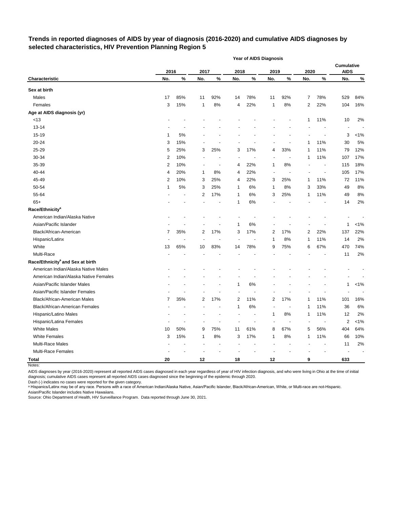# **Trends in reported diagnoses of AIDS by year of diagnosis (2016-2020) and cumulative AIDS diagnoses by selected characteristics, HIV Prevention Planning Region 5**

|                                              |      |      |                |                          |      | <b>Year of AIDS Diagnosis</b> |      |                          |      |                          |                                  |                |
|----------------------------------------------|------|------|----------------|--------------------------|------|-------------------------------|------|--------------------------|------|--------------------------|----------------------------------|----------------|
|                                              | 2016 |      | 2017           |                          | 2018 |                               | 2019 |                          | 2020 |                          | <b>Cumulative</b><br><b>AIDS</b> |                |
| <b>Characteristic</b>                        | No.  | $\%$ | No.            | $\%$                     | No.  | $\%$                          | No.  | %                        | No.  | %                        | No.                              | $\%$           |
| Sex at birth                                 |      |      |                |                          |      |                               |      |                          |      |                          |                                  |                |
| Males                                        | 17   | 85%  | 11             | 92%                      | 14   | 78%                           | 11   | 92%                      | 7    | 78%                      | 529                              | 84%            |
| Females                                      | 3    | 15%  | 1              | 8%                       | 4    | 22%                           | 1    | 8%                       | 2    | 22%                      | 104                              | 16%            |
| Age at AIDS diagnosis (yr)                   |      |      |                |                          |      |                               |      |                          |      |                          |                                  |                |
| < 13                                         |      |      |                |                          |      |                               |      |                          | 1    | 11%                      | 10                               | 2%             |
| $13 - 14$                                    |      |      |                |                          |      |                               |      |                          |      |                          | $\overline{\phantom{a}}$         |                |
| 15-19                                        | 1    | 5%   |                |                          |      |                               |      |                          |      |                          | 3                                | $< 1\%$        |
| 20-24                                        | 3    | 15%  |                |                          |      |                               |      |                          | 1    | 11%                      | 30                               | 5%             |
| 25-29                                        | 5    | 25%  | 3              | 25%                      | 3    | 17%                           | 4    | 33%                      | 1    | 11%                      | 79                               | 12%            |
| 30-34                                        | 2    | 10%  |                |                          |      |                               |      |                          | 1    | 11%                      | 107                              | 17%            |
| 35-39                                        | 2    | 10%  | $\blacksquare$ | $\overline{\phantom{a}}$ | 4    | 22%                           | 1    | 8%                       |      | $\blacksquare$           | 115                              | 18%            |
| 40-44                                        | 4    | 20%  | 1              | 8%                       | 4    | 22%                           | ÷,   |                          |      | $\overline{\phantom{a}}$ | 105                              | 17%            |
| 45-49                                        | 2    | 10%  | 3              | 25%                      | 4    | 22%                           | 3    | 25%                      | 1    | 11%                      | 72                               | 11%            |
| 50-54                                        | 1    | 5%   | 3              | 25%                      | 1    | 6%                            | 1    | 8%                       | 3    | 33%                      | 49                               | 8%             |
| 55-64                                        |      |      | 2              | 17%                      | 1    | 6%                            | 3    | 25%                      | 1    | 11%                      | 49                               | 8%             |
| $65+$                                        |      |      |                |                          | 1    | 6%                            |      |                          |      |                          | 14                               | 2%             |
| Race/Ethnicity <sup>a</sup>                  |      |      |                |                          |      |                               |      |                          |      |                          |                                  |                |
| American Indian/Alaska Native                |      |      |                |                          |      |                               |      |                          |      |                          |                                  |                |
| Asian/Pacific Islander                       |      |      |                |                          | 1    | 6%                            |      |                          |      |                          | 1                                | $< 1\%$        |
| Black/African-American                       | 7    | 35%  | 2              | 17%                      | 3    | 17%                           | 2    | 17%                      | 2    | 22%                      | 137                              | 22%            |
| Hispanic/Latinx                              |      |      |                |                          |      |                               | 1    | 8%                       | 1    | 11%                      | 14                               | 2%             |
| White                                        | 13   | 65%  | 10             | 83%                      | 14   | 78%                           | 9    | 75%                      | 6    | 67%                      | 470                              | 74%            |
| Multi-Race                                   |      |      |                |                          |      |                               |      |                          |      |                          | 11                               | 2%             |
| Race/Ethnicity <sup>a</sup> and Sex at birth |      |      |                |                          |      |                               |      |                          |      |                          |                                  |                |
| American Indian/Alaska Native Males          |      |      |                |                          |      |                               |      |                          |      |                          |                                  |                |
| American Indian/Alaska Native Females        |      |      |                |                          |      |                               |      |                          |      |                          |                                  |                |
| Asian/Pacific Islander Males                 |      |      |                |                          | 1    | 6%                            |      |                          |      |                          | 1                                | $< 1\%$        |
| Asian/Pacific Islander Females               |      |      |                |                          |      |                               |      |                          |      |                          |                                  |                |
| <b>Black/African-American Males</b>          | 7    | 35%  | 2              | 17%                      | 2    | 11%                           | 2    | 17%                      | 1    | 11%                      | 101                              | 16%            |
| <b>Black/African-American Females</b>        |      |      |                | $\blacksquare$           | 1    | 6%                            | Ĭ.   | $\overline{\phantom{a}}$ | 1    | 11%                      | 36                               | 6%             |
| Hispanic/Latino Males                        |      |      |                |                          |      |                               |      | 8%                       |      | 11%                      | 12                               | 2%             |
| Hispanic/Latina Females                      |      |      |                |                          |      |                               |      |                          |      |                          | $\mathbf 2$                      | $< 1\%$        |
| <b>White Males</b>                           | 10   | 50%  | 9              | 75%                      | 11   | 61%                           | 8    | 67%                      | 5    | 56%                      | 404                              | 64%            |
| <b>White Females</b>                         | 3    | 15%  | 1              | $8\%$                    | 3    | 17%                           | 1    | $8\%$                    | 1    | 11%                      | 66                               | 10%            |
| Multi-Race Males                             |      |      |                |                          |      |                               |      |                          |      |                          | 11                               | 2%             |
| Multi-Race Females                           |      |      |                |                          |      |                               |      |                          |      |                          |                                  | $\blacksquare$ |
| <b>Total</b>                                 | 20   |      | $12$           |                          | 18   |                               | 12   |                          | 9    |                          | 633                              |                |

Notes:

AIDS diagnoses by year (2016-2020) represent all reported AIDS cases diagnosed in each year regardless of year of HIV infection diagnosis, and who were living in Ohio at the time of initial diagnosis; cumulative AIDS cases represent all reported AIDS cases diagnosed since the beginning of the epidemic through 2020.

Dash (-) indicates no cases were reported for the given category.

a Hispanics/Latinx may be of any race. Persons with a race of American Indian/Alaska Native, Asian/Pacific Islander, Black/African-American, White, or Multi-race are not-Hispanic. Asian/Pacific Islander includes Native Hawaiians.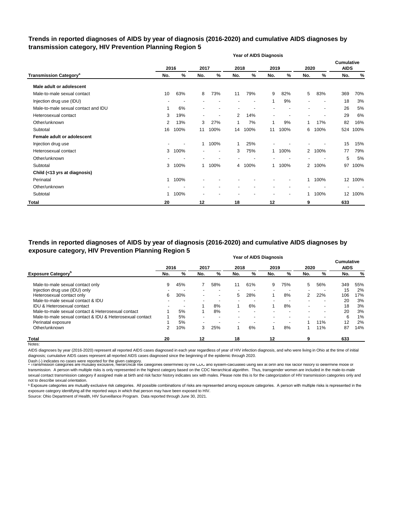## **Trends in reported diagnoses of AIDS by year of diagnosis (2016-2020) and cumulative AIDS diagnoses by transmission category, HIV Prevention Planning Region 5**

|                                          | <b>Year of AIDS Diagnosis</b> |                          |              |                          |      |        |                          |      |                |      |                                  |       |  |
|------------------------------------------|-------------------------------|--------------------------|--------------|--------------------------|------|--------|--------------------------|------|----------------|------|----------------------------------|-------|--|
|                                          |                               | 2016                     | 2017         |                          | 2018 |        | 2019                     |      | 2020           |      | <b>Cumulative</b><br><b>AIDS</b> |       |  |
| <b>Transmission Category<sup>a</sup></b> | No.                           | %                        | No.          | %                        | No.  | %      | No.                      | %    | No.            | %    | No.                              | %     |  |
| Male adult or adolescent                 |                               |                          |              |                          |      |        |                          |      |                |      |                                  |       |  |
| Male-to-male sexual contact              | 10                            | 63%                      | 8            | 73%                      | 11   | 79%    | 9                        | 82%  | 5              | 83%  | 369                              | 70%   |  |
| Injection drug use (IDU)                 |                               | $\overline{\phantom{a}}$ |              |                          |      |        | 1                        | 9%   |                |      | 18                               | 3%    |  |
| Male-to-male sexual contact and IDU      |                               | 6%                       |              | ٠                        |      |        |                          |      |                |      | 26                               | $5\%$ |  |
| Heterosexual contact                     | 3                             | 19%                      | -            | ٠                        | 2    | 14%    | $\overline{\phantom{a}}$ |      |                |      | 29                               | 6%    |  |
| Other/unknown                            | 2                             | 13%                      | 3            | 27%                      | 1    | 7%     | 1                        | 9%   | 1              | 17%  | 82                               | 16%   |  |
| Subtotal                                 | 16                            | 100%                     | 11           | 100%                     | 14   | 100%   | 11                       | 100% | 6              | 100% | 524                              | 100%  |  |
| Female adult or adolescent               |                               |                          |              |                          |      |        |                          |      |                |      |                                  |       |  |
| Injection drug use                       |                               |                          | 1.           | 100%                     | 1    | 25%    |                          |      |                |      | 15                               | 15%   |  |
| Heterosexual contact                     | 3                             | 100%                     | -            | $\overline{\phantom{a}}$ | 3    | 75%    | 1                        | 100% | $\overline{2}$ | 100% | 77                               | 79%   |  |
| Other/unknown                            |                               |                          |              |                          |      |        |                          |      |                |      | 5                                | 5%    |  |
| Subtotal                                 | 3                             | 100%                     | $\mathbf{1}$ | 100%                     |      | 4 100% | 1                        | 100% | $\overline{2}$ | 100% | 97                               | 100%  |  |
| Child (<13 yrs at diagnosis)             |                               |                          |              |                          |      |        |                          |      |                |      |                                  |       |  |
| Perinatal                                | 1.                            | 100%                     |              |                          |      |        |                          |      | $\mathbf{1}$   | 100% | 12 <sup>2</sup>                  | 100%  |  |
| Other/unknown                            |                               |                          |              |                          |      |        |                          |      |                |      |                                  |       |  |
| Subtotal                                 | 1                             | 100%                     |              |                          |      |        |                          |      | 1              | 100% | 12 <sup>2</sup>                  | 100%  |  |
| <b>Total</b>                             | 20                            |                          | 12           |                          | 18   |        | 12                       |      | 9              |      | 633                              |       |  |

#### **Year of AIDS Diagnosis Trends in reported diagnoses of AIDS by year of diagnosis (2016-2020) and cumulative AIDS diagnoses by exposure category, HIV Prevention Planning Region 5**

|                                                          |      |     |                          |                          |      | <b>I cal UI AIDO DIAYIIUSIS</b> |                          |     |                          |     | <b>Cumulative</b> |     |
|----------------------------------------------------------|------|-----|--------------------------|--------------------------|------|---------------------------------|--------------------------|-----|--------------------------|-----|-------------------|-----|
|                                                          | 2016 |     | 2017                     |                          | 2018 |                                 | 2019                     |     | 2020                     |     | <b>AIDS</b>       |     |
| <b>Exposure Category</b> <sup>b</sup>                    | No.  | %   | No.                      | %                        | No.  | %                               | No.                      | %   | No.                      | %   | No.               | %   |
| Male-to-male sexual contact only                         | 9    | 45% |                          | 58%                      | 11   | 61%                             | 9                        | 75% | 5                        | 56% | 349               | 55% |
| Injection drug use (IDU) only                            |      |     |                          |                          |      |                                 |                          |     |                          |     | 15                | 2%  |
| Heterosexual contact only                                | 6    | 30% | $\overline{\phantom{0}}$ | $\,$                     | 5    | 28%                             |                          | 8%  | $\overline{2}$           | 22% | 106               | 17% |
| Male-to-male sexual contact & IDU                        |      |     |                          | $\overline{\phantom{a}}$ |      |                                 | $\overline{\phantom{0}}$ |     |                          |     | 20                | 3%  |
| <b>IDU &amp; Heterosexual contact</b>                    |      |     |                          | 8%                       |      | 6%                              |                          | 8%  | $\blacksquare$           |     | 18                | 3%  |
| Male-to-male sexual contact & Heterosexual contact       |      | 5%  |                          | 8%                       |      |                                 |                          |     | $\overline{\phantom{0}}$ |     | 20                | 3%  |
| Male-to-male sexual contact & IDU & Heterosexual contact |      | 5%  |                          | $\overline{\phantom{a}}$ |      |                                 |                          |     | $\overline{\phantom{0}}$ |     | 6                 | 1%  |
| Perinatal exposure                                       |      | 5%  |                          |                          |      |                                 | $\overline{\phantom{a}}$ |     |                          | 11% | 12                | 2%  |
| Other/unknown                                            | 2    | 10% | 3                        | 25%                      |      | 6%                              |                          | 8%  |                          | 11% | 87                | 14% |
| Total                                                    | 20   |     | $12 \,$                  |                          | 18   |                                 | 12                       |     | 9                        |     | 633               |     |
| Notes:                                                   |      |     |                          |                          |      |                                 |                          |     |                          |     |                   |     |

AIDS diagnoses by year (2016-2020) represent all reported AIDS cases diagnosed in each year regardless of year of HIV infection diagnosis, and who were living in Ohio at the time of initial diagnosis; cumulative AIDS cases represent all reported AIDS cases diagnosed since the beginning of the epidemic through 2020.

Dash (-) indicates no cases were reported for the given category.<br>◎ Transmission categories are mutually exclusive, nierarcnical risk categories determined by the CDC and system-calculated using sex at birth and risk ract transmission. A person with multiple risks is only represented in the highest category based on the CDC hierarchical algorithm. Thus, transgender women are included in the male-to-male sexual contact transmission category if assigned male at birth and risk factor history indicates sex with males. Please note this is for the categorization of HIV transmission categories only and not to describe sexual orientation.

**b** Exposure categories are mutually exclusive risk categories. All possible combinations of risks are represented among exposure categories. A person with multiple risks is represented in the exposure category identifying all the reported ways in which that person may have been exposed to HIV.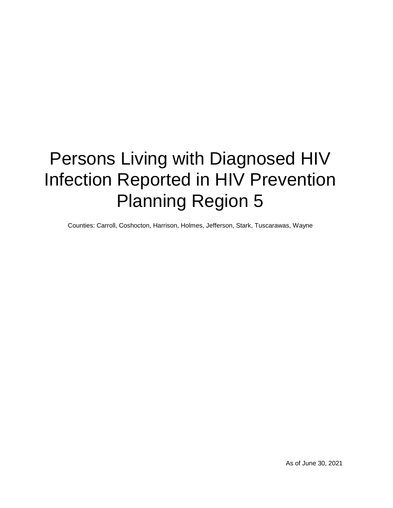# Persons Living with Diagnosed HIV Infection Reported in HIV Prevention Planning Region 5

Counties: Carroll, Coshocton, Harrison, Holmes, Jefferson, Stark, Tuscarawas, Wayne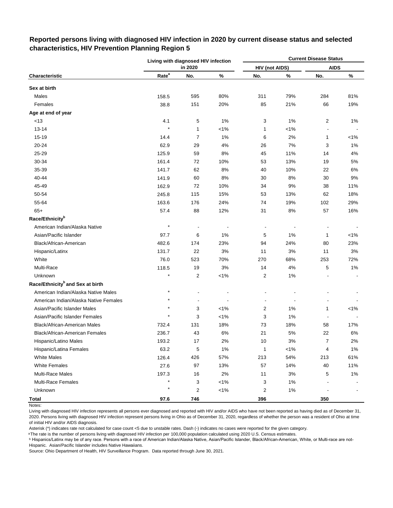|                                              |                   | Living with diagnosed HIV infection |         |                       |         | <b>Current Disease Status</b> |         |
|----------------------------------------------|-------------------|-------------------------------------|---------|-----------------------|---------|-------------------------------|---------|
|                                              |                   | in 2020                             |         | <b>HIV (not AIDS)</b> |         | <b>AIDS</b>                   |         |
| Characteristic                               | Rate <sup>a</sup> | No.                                 | $\%$    | No.                   | $\%$    | No.                           | $\%$    |
| Sex at birth                                 |                   |                                     |         |                       |         |                               |         |
| Males                                        | 158.5             | 595                                 | 80%     | 311                   | 79%     | 284                           | 81%     |
| Females                                      | 38.8              | 151                                 | 20%     | 85                    | 21%     | 66                            | 19%     |
| Age at end of year                           |                   |                                     |         |                       |         |                               |         |
| <13                                          | 4.1               | 5                                   | 1%      | 3                     | 1%      | $\overline{2}$                | 1%      |
| $13 - 14$                                    | $\star$           | 1                                   | $< 1\%$ | 1                     | $< 1\%$ |                               |         |
| 15-19                                        | 14.4              | $\overline{7}$                      | 1%      | 6                     | 2%      | 1                             | $< 1\%$ |
| 20-24                                        | 62.9              | 29                                  | 4%      | 26                    | 7%      | 3                             | 1%      |
| 25-29                                        | 125.9             | 59                                  | 8%      | 45                    | 11%     | 14                            | 4%      |
| 30-34                                        | 161.4             | 72                                  | 10%     | 53                    | 13%     | 19                            | 5%      |
| 35-39                                        | 141.7             | 62                                  | 8%      | 40                    | 10%     | 22                            | 6%      |
| 40-44                                        | 141.9             | 60                                  | 8%      | 30                    | 8%      | 30                            | $9\%$   |
| 45-49                                        | 162.9             | 72                                  | 10%     | 34                    | 9%      | 38                            | 11%     |
| 50-54                                        | 245.8             | 115                                 | 15%     | 53                    | 13%     | 62                            | 18%     |
| 55-64                                        | 163.6             | 176                                 | 24%     | 74                    | 19%     | 102                           | 29%     |
| $65+$                                        | 57.4              | 88                                  | 12%     | 31                    | 8%      | 57                            | 16%     |
| Race/Ethnicity <sup>b</sup>                  |                   |                                     |         |                       |         |                               |         |
| American Indian/Alaska Native                | $\star$           |                                     |         |                       |         |                               |         |
| Asian/Pacific Islander                       | 97.7              | 6                                   | 1%      | 5                     | 1%      | 1                             | $< 1\%$ |
| Black/African-American                       | 482.6             | 174                                 | 23%     | 94                    | 24%     | 80                            | 23%     |
| Hispanic/Latinx                              | 131.7             | 22                                  | 3%      | 11                    | 3%      | 11                            | 3%      |
| White                                        | 76.0              | 523                                 | 70%     | 270                   | 68%     | 253                           | 72%     |
| Multi-Race                                   | 118.5             | 19                                  | 3%      | 14                    | 4%      | 5                             | 1%      |
| Unknown                                      | $\star$           | 2                                   | $< 1\%$ | 2                     | 1%      |                               |         |
| Race/Ethnicity <sup>b</sup> and Sex at birth |                   |                                     |         |                       |         |                               |         |
| American Indian/Alaska Native Males          |                   |                                     |         |                       |         |                               |         |
| American Indian/Alaska Native Females        |                   |                                     |         |                       |         |                               |         |
| Asian/Pacific Islander Males                 |                   | 3                                   | $< 1\%$ | 2                     | 1%      | 1                             | $< 1\%$ |
| Asian/Pacific Islander Females               |                   | 3                                   | $< 1\%$ | 3                     | 1%      |                               |         |
| Black/African-American Males                 | 732.4             | 131                                 | 18%     | 73                    | 18%     | 58                            | 17%     |
| Black/African-American Females               | 236.7             | 43                                  | 6%      | 21                    | 5%      | 22                            | 6%      |
| Hispanic/Latino Males                        | 193.2             | 17                                  | 2%      | $10$                  | 3%      | $\boldsymbol{7}$              | 2%      |
| Hispanic/Latina Females                      | 63.2              | 5                                   | 1%      | $\mathbf{1}$          | $< 1\%$ | $\overline{\mathbf{4}}$       | $1\%$   |
| <b>White Males</b>                           | 126.4             | 426                                 | 57%     | 213                   | 54%     | 213                           | 61%     |
| <b>White Females</b>                         | 27.6              | 97                                  | 13%     | 57                    | 14%     | 40                            | 11%     |
| <b>Multi-Race Males</b>                      | 197.3             | 16                                  | 2%      | 11                    | 3%      | 5                             | $1\%$   |
| Multi-Race Females                           |                   | 3                                   | $< 1\%$ | 3                     | 1%      |                               |         |
| Unknown                                      |                   | $\overline{c}$                      | $< 1\%$ | $\overline{c}$        | 1%      |                               |         |
| <b>Total</b>                                 | 97.6              | 746                                 |         | 396                   |         | 350                           |         |

# **Reported persons living with diagnosed HIV infection in 2020 by current disease status and selected characteristics, HIV Prevention Planning Region 5**

Notes:

Living with diagnosed HIV infection represents all persons ever diagnosed and reported with HIV and/or AIDS who have not been reported as having died as of December 31, 2020. Persons living with diagnosed HIV infection represent persons living in Ohio as of December 31, 2020, regardless of whether the person was a resident of Ohio at time of initial HIV and/or AIDS diagnosis.

Asterisk (\*) indicates rate not calculated for case count <5 due to unstable rates. Dash (-) indicates no cases were reported for the given category.

a The rate is the number of persons living with diagnosed HIV infection per 100,000 population calculated using 2020 U.S. Census estimates.

ᵇ Hispanics/Latinx may be of any race. Persons with a race of American Indian/Alaska Native, Asian/Pacific Islander, Black/African-American, White, or Multi-race are not-Hispanic. Asian/Pacific Islander includes Native Hawaiians.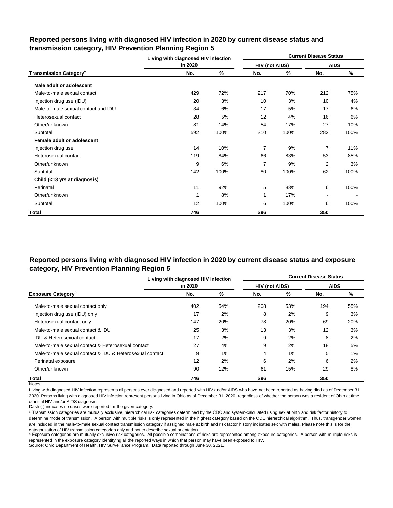|                                          | Living with diagnosed HIV infection |      |                |      | <b>Current Disease Status</b> |      |
|------------------------------------------|-------------------------------------|------|----------------|------|-------------------------------|------|
|                                          | in 2020                             |      | HIV (not AIDS) |      | <b>AIDS</b>                   |      |
| <b>Transmission Category<sup>a</sup></b> | No.                                 | ℅    | No.            | %    | No.                           | %    |
| Male adult or adolescent                 |                                     |      |                |      |                               |      |
| Male-to-male sexual contact              | 429                                 | 72%  | 217            | 70%  | 212                           | 75%  |
| Injection drug use (IDU)                 | 20                                  | 3%   | 10             | 3%   | 10                            | 4%   |
| Male-to-male sexual contact and IDU      | 34                                  | 6%   | 17             | 5%   | 17                            | 6%   |
| Heterosexual contact                     | 28                                  | 5%   | 12             | 4%   | 16                            | 6%   |
| Other/unknown                            | 81                                  | 14%  | 54             | 17%  | 27                            | 10%  |
| Subtotal                                 | 592                                 | 100% | 310            | 100% | 282                           | 100% |
| Female adult or adolescent               |                                     |      |                |      |                               |      |
| Injection drug use                       | 14                                  | 10%  | 7              | 9%   | $\overline{7}$                | 11%  |
| Heterosexual contact                     | 119                                 | 84%  | 66             | 83%  | 53                            | 85%  |
| Other/unknown                            | 9                                   | 6%   | $\overline{7}$ | 9%   | 2                             | 3%   |
| Subtotal                                 | 142                                 | 100% | 80             | 100% | 62                            | 100% |
| Child (<13 yrs at diagnosis)             |                                     |      |                |      |                               |      |
| Perinatal                                | 11                                  | 92%  | 5              | 83%  | 6                             | 100% |
| Other/unknown                            | 1                                   | 8%   | 1              | 17%  | $\overline{\phantom{a}}$      |      |
| Subtotal                                 | 12                                  | 100% | 6              | 100% | 6                             | 100% |
| Total                                    | 746                                 |      | 396            |      | 350                           |      |

## **Reported persons living with diagnosed HIV infection in 2020 by current disease status and transmission category, HIV Prevention Planning Region 5**

# **Reported persons living with diagnosed HIV infection in 2020 by current disease status and exposure category, HIV Prevention Planning Region 5**

|                                                          | Living with diagnosed HIV infection |     |                       |     | <b>Current Disease Status</b> |     |
|----------------------------------------------------------|-------------------------------------|-----|-----------------------|-----|-------------------------------|-----|
|                                                          | in 2020                             |     | <b>HIV (not AIDS)</b> |     | <b>AIDS</b>                   |     |
| <b>Exposure Category</b> <sup>b</sup>                    | No.                                 | %   | No.                   | %   | No.                           | %   |
| Male-to-male sexual contact only                         | 402                                 | 54% | 208                   | 53% | 194                           | 55% |
| Injection drug use (IDU) only                            | 17                                  | 2%  | 8                     | 2%  | 9                             | 3%  |
| Heterosexual contact only                                | 147                                 | 20% | 78                    | 20% | 69                            | 20% |
| Male-to-male sexual contact & IDU                        | 25                                  | 3%  | 13                    | 3%  | 12                            | 3%  |
| <b>IDU &amp; Heterosexual contact</b>                    | 17                                  | 2%  | 9                     | 2%  | 8                             | 2%  |
| Male-to-male sexual contact & Heterosexual contact       | 27                                  | 4%  | 9                     | 2%  | 18                            | 5%  |
| Male-to-male sexual contact & IDU & Heterosexual contact | 9                                   | 1%  | 4                     | 1%  | 5                             | 1%  |
| Perinatal exposure                                       | 12                                  | 2%  | 6                     | 2%  | 6                             | 2%  |
| Other/unknown                                            | 90                                  | 12% | 61                    | 15% | 29                            | 8%  |
| Total                                                    | 746                                 |     | 396                   |     | 350                           |     |

Notes:

Living with diagnosed HIV infection represents all persons ever diagnosed and reported with HIV and/or AIDS who have not been reported as having died as of December 31, 2020. Persons living with diagnosed HIV infection represent persons living in Ohio as of December 31, 2020, regardless of whether the person was a resident of Ohio at time of initial HIV and/or AIDS diagnosis.

Dash (-) indicates no cases were reported for the given category.

a Transmission categories are mutually exclusive, hierarchical risk categories determined by the CDC and system-calculated using sex at birth and risk factor history to determine mode of transmission. A person with multiple risks is only represented in the highest category based on the CDC hierarchical algorithm. Thus, transgender women are included in the male-to-male sexual contact transmission category if assigned male at birth and risk factor history indicates sex with males. Please note this is for the categorization of HIV transmission categories only and not to describe sexual orientation.

**b** Exposure categories are mutually exclusive risk categories. All possible combinations of risks are represented among exposure categories. A person with multiple risks is represented in the exposure category identifying all the reported ways in which that person may have been exposed to HIV.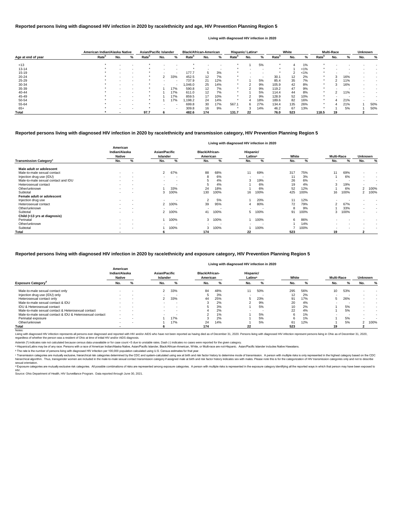|                    | American Indian/Alaska Native |     |   | <b>Asian/Pacific Islander</b> |     |                          | <b>Black/African-American</b> |     |     | Hispanic/ Latinx <sup>a</sup> |     |           |                   | White |       |                   | <b>Multi-Race</b> |     | <b>Unknown</b> |     |
|--------------------|-------------------------------|-----|---|-------------------------------|-----|--------------------------|-------------------------------|-----|-----|-------------------------------|-----|-----------|-------------------|-------|-------|-------------------|-------------------|-----|----------------|-----|
| Age at end of year | Rate <sup>b</sup>             | No. | % | Rate <sup>p</sup>             | No. | %                        | <b>Rate</b> <sup>p</sup>      | No. | %   | Rate <sup>r</sup>             | No. | ℅         | Rate <sup>p</sup> | No.   | %     | Rate <sup>r</sup> | No.               | %   | No.            | %   |
| < 13               |                               |     |   |                               |     |                          |                               |     |     |                               |     | 5%        | $\star$           |       | 1%    |                   |                   |     |                |     |
| $13 - 14$          |                               |     |   |                               |     |                          |                               |     |     |                               |     |           |                   |       | $1\%$ |                   |                   |     |                |     |
| $15 - 19$          |                               |     |   |                               |     | $\overline{\phantom{a}}$ | 177.7                         |     | 3%  |                               |     | $\sim$    | $\star$           |       | < 1%  |                   |                   |     |                |     |
| $20 - 24$          |                               |     |   |                               |     | 33%                      | 452.5                         | 12  | 7%  |                               |     | $\,$ $\,$ | 30.1              | 12    | 2%    |                   |                   | 16% |                |     |
| $25 - 29$          |                               |     |   |                               |     | $\sim$                   | 737.9                         | 21  | 12% |                               |     | 5%        | 85.4              | 35    | 7%    |                   |                   | 11% |                |     |
| 30-34              |                               |     |   |                               |     | $\overline{\phantom{a}}$ | 0.046.0                       | 25  | 14% | $\star$                       |     | 9%        | 105.9             | 42    | 8%    |                   |                   | 16% |                |     |
| 35-39              |                               |     |   |                               |     | 17%                      | 590.8                         | 12  | 7%  | $\star$                       |     | 9%        | 119.2             | 47    | 9%    |                   |                   | -   |                |     |
| 40-44              |                               |     |   |                               |     | 17%                      | 611.0                         | 12  | 7%  |                               |     | 5%        | 114.4             | 44    | 8%    |                   |                   | 11% |                |     |
| 45-49              |                               |     |   |                               |     | 17%                      | 859.5                         | 17  | 10% | $\star$                       |     | 9%        | 128.9             | 52    | 10%   |                   |                   |     |                |     |
| 50-54              |                               |     |   |                               |     | 17%                      | 198.2                         | 24  | 14% |                               |     | 18%       | 189.6             | 82    | 16%   |                   | 4                 | 21% |                |     |
| 55-64              |                               |     |   |                               |     | $\overline{\phantom{a}}$ | 699.8                         | 30  | 17% | 567.1                         |     | 27%       | 134.4             | 135   | 26%   |                   |                   | 21% |                | 50% |
| $65+$              |                               |     |   |                               |     | $\overline{\phantom{a}}$ | 309.8                         | 16  | 9%  |                               |     | 14%       | 46.2              | 67    | 13%   |                   |                   | 5%  |                | 50% |
| <b>Total</b>       |                               |     |   | 97.7                          |     |                          | 482.6                         | 174 |     | 131.7                         | 22  |           | 76.0              | 523   |       | 118.5             | 19                |     |                |     |

<sup>c</sup> Transmission categories are mutually exclusive, hierarchical risk categories determined by the CDC and system-calculated using sex at birth and risk factor history to determine mode of transmission. A person with multi hierarchical algorithm. Thus, transgender women are included in the male-to-male sexual contact transmission category if assigned male at birth and risk factor history indicates sex with males. Please note this is for the sexual orientation.

<sup>d</sup> Exposure categories are mutually exclusive risk categories. All possible combinations of risks are represented among exposure categories. A person with multiple risks is represented in the exposure category identifying

| Living with diagnosed HIV infection in 2020 |                                            |                          |                                         |                          |                                   |      |                                  |      |       |      |                   |      |                |                          |
|---------------------------------------------|--------------------------------------------|--------------------------|-----------------------------------------|--------------------------|-----------------------------------|------|----------------------------------|------|-------|------|-------------------|------|----------------|--------------------------|
|                                             | American<br>Indian/Alaska<br><b>Native</b> |                          | <b>Asian/Pacific</b><br><b>Islander</b> |                          | <b>Black/African-</b><br>American |      | Hispanic/<br>Latinx <sup>a</sup> |      | White |      | <b>Multi-Race</b> |      | <b>Unknown</b> |                          |
| <b>Transmission Category</b> <sup>c</sup>   | No.                                        | %                        | No.                                     | %                        | No.                               | %    | No.                              | %    | No.   | %    | No.               | %    | No.            | %                        |
| Male adult or adolescent                    |                                            |                          |                                         |                          |                                   |      |                                  |      |       |      |                   |      |                |                          |
| Male-to-male sexual contact                 | $\sim$                                     | $\overline{\phantom{a}}$ | $\mathbf{2}$                            | 67%                      | 88                                | 68%  | 11                               | 69%  | 317   | 75%  | 11                | 69%  | $\blacksquare$ | $\overline{\phantom{a}}$ |
| Injection drug use (IDU)                    |                                            |                          |                                         |                          |                                   | 6%   |                                  |      | 11    | 3%   |                   | 6%   | $\blacksquare$ | $\overline{\phantom{a}}$ |
| Male-to-male sexual contact and IDU         |                                            | $\overline{\phantom{a}}$ | $\sim$                                  | $\blacksquare$           |                                   | 4%   | 3                                | 19%  | 26    | 6%   |                   |      | $\blacksquare$ | $\overline{\phantom{a}}$ |
| Heterosexual contact                        | $\sim$                                     | $\overline{\phantom{a}}$ |                                         | $\overline{\phantom{a}}$ |                                   | 4%   |                                  | 6%   | 19    | 4%   | 3                 | 19%  | $\sim$         |                          |
| Other/unknown                               |                                            | $\overline{\phantom{a}}$ |                                         | 33%                      | 24                                | 18%  |                                  | 6%   | 52    | 12%  |                   | 6%   |                | 2 100%                   |
| Subtotal                                    | $\sim$                                     | $\overline{\phantom{a}}$ |                                         | 100%                     | 130                               | 100% | 16                               | 100% | 425   | 100% | 16                | 100% |                | 2 100%                   |
| Female adult or adolescent                  |                                            |                          |                                         |                          |                                   |      |                                  |      |       |      |                   |      |                |                          |
| Injection drug use                          |                                            | $\overline{\phantom{a}}$ | $\sim$                                  | $\blacksquare$           | 2                                 | 5%   |                                  | 20%  | 11    | 12%  |                   |      | $\blacksquare$ | $\overline{\phantom{a}}$ |
| Heterosexual contact                        |                                            | $\blacksquare$           |                                         | 2 100%                   | 39                                | 95%  |                                  | 80%  | 72    | 79%  | 2                 | 67%  | $\sim$         | $\overline{\phantom{a}}$ |
| Other/unknown                               |                                            | $\overline{\phantom{a}}$ |                                         |                          |                                   |      |                                  |      | 8     | 9%   |                   | 33%  | $\sim$         | $\overline{\phantom{a}}$ |
| Subtotal                                    |                                            | $\overline{\phantom{a}}$ |                                         | 2 100%                   | 41                                | 100% | 5                                | 100% | 91    | 100% | 3                 | 100% | $\sim$         | $\overline{\phantom{a}}$ |
| Child (<13 yrs at diagnosis)                |                                            |                          |                                         |                          |                                   |      |                                  |      |       |      |                   |      |                |                          |
| Perinatal                                   | $\sim$                                     | $\overline{\phantom{a}}$ |                                         | 100%                     | 3                                 | 100% |                                  | 100% | 6     | 86%  | $\sim$            |      |                |                          |
| Other/unknown                               | $\sim$                                     | $\overline{\phantom{a}}$ |                                         | $\overline{\phantom{a}}$ | $\blacksquare$                    |      |                                  |      |       | 14%  | $\sim$            |      |                | $\overline{\phantom{a}}$ |
| Subtotal                                    | $\sim$                                     | $\overline{\phantom{a}}$ |                                         | 100%                     | 3                                 | 100% |                                  | 100% |       | 100% |                   |      |                | $\overline{\phantom{a}}$ |
| <b>Total</b>                                |                                            |                          |                                         |                          | 174                               |      | 22                               |      | 523   |      | 19                |      |                |                          |

|                                                          |                                            |                          |                                  |                          |                                   |       | Living with diagnosed HIV infection in 2020 |     |       |     |                   |     |                |        |
|----------------------------------------------------------|--------------------------------------------|--------------------------|----------------------------------|--------------------------|-----------------------------------|-------|---------------------------------------------|-----|-------|-----|-------------------|-----|----------------|--------|
|                                                          | American<br>Indian/Alaska<br><b>Native</b> |                          | <b>Asian/Pacific</b><br>Islander |                          | <b>Black/African-</b><br>American |       | Hispanic/<br>Latinx <sup>a</sup>            |     | White |     | <b>Multi-Race</b> |     | <b>Unknown</b> |        |
| <b>Exposure Category<sup>a</sup></b>                     | No.                                        | %                        | No.                              | %                        | No.                               | %     | No.                                         |     | No.   | %   | No.               |     | No.            | %      |
| Male-to-male sexual contact only                         |                                            |                          | 2                                | 33%                      | 84                                | 48%   | 11                                          | 50% | 295   | 56% | 10                | 53% |                |        |
| Injection drug use (IDU) only                            |                                            |                          |                                  |                          |                                   | 3%    |                                             |     | 12    | 2%  |                   |     |                |        |
| Heterosexual contact only                                | $\sim$                                     | $\overline{\phantom{a}}$ |                                  | 33%                      | 44                                | 25%   |                                             | 23% | 91    | 17% | G.                | 26% |                |        |
| Male-to-male sexual contact & IDU                        |                                            |                          |                                  |                          |                                   | 2%    |                                             | 9%  | 20    | 4%  |                   |     |                |        |
| <b>IDU &amp; Heterosexual contact</b>                    | $\overline{\phantom{0}}$                   |                          |                                  | . .                      |                                   | 3%    |                                             | 5%  | 10    | 2%  |                   | 5%  | $\sim$         |        |
| Male-to-male sexual contact & Heterosexual contact       |                                            |                          |                                  | $\overline{\phantom{a}}$ |                                   | 2%    |                                             |     | 22    | 4%  |                   | 5%  |                |        |
| Male-to-male sexual contact & IDU & Heterosexual contact | $\sim$                                     |                          |                                  | . .                      |                                   | $1\%$ |                                             | 5%  |       | 1%  |                   |     |                |        |
| Perinatal exposure                                       |                                            |                          |                                  | 17%                      |                                   | 2%    |                                             | 5%  |       | 1%  |                   | 5%  |                |        |
| Other/unknown                                            | $\overline{\phantom{0}}$                   |                          |                                  | 17%                      | 24                                | 14%   |                                             | 5%  | 61    | 12% |                   | 5%  |                | 2 100% |
| Total                                                    |                                            |                          |                                  |                          | 174                               |       | 22                                          |     | 523   |     | 19                |     |                |        |

Notes:

Living with diagnosed HIV infection represents all persons ever diagnosed and reported with HIV and/or AIDS who have not been reported as having died as of December 31, 2020. Persons living with diagnosed HIV infection rep regardless of whether the person was a resident of Ohio at time of initial HIV and/or AIDS diagnosis.

#### **Reported persons living with diagnosed HIV infection in 2020 by race/ethnicity and transmission category, HIV Prevention Planning Region 5**

### **Reported persons living with diagnosed HIV infection in 2020 by race/ethnicity and age, HIV Prevention Planning Region 5**

#### **Living with diagnosed HIV infection in 2020**

#### **Reported persons living with diagnosed HIV infection in 2020 by race/ethnicity and exposure category, HIV Prevention Planning Region 5**

ᵇ The rate is the number of persons living with diagnosed HIV infection per 100,000 population calculated using U.S. Census estimates for that year.

Source: Ohio Department of Health, HIV Surveillance Program. Data reported through June 30, 2021. HIV.

Asterisk (\*) indicates rate not calculated because census data unavailable or for case count <5 due to unstable rates. Dash (-) indicates no cases were reported for the given category.

a Hispanics/Latinx may be of any race. Persons with a race of American Indian/Alaska Native, Asian/Pacific Islander, Black/African-American, White, or Multi-race are not-Hispanic. Asian/Pacific Islander includes Native Haw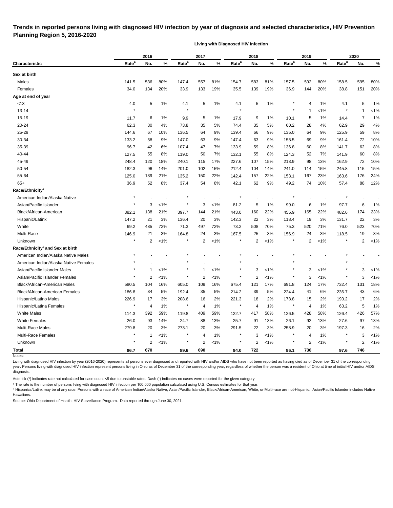# **Trends in reported persons living with diagnosed HIV infection by year of diagnosis and selected characteristics, HIV Prevention Planning Region 5, 2016-2020**

**Living with Diagnosed HIV Infection**

| Rate <sup>a</sup><br>Rate <sup>a</sup><br>Rate <sup>a</sup><br>Rate <sup>a</sup><br>Rate <sup>a</sup><br>%<br>%<br>%<br>%<br>No.<br>No.<br>No.<br>No.<br>No.<br>Characteristic<br>Sex at birth<br>557<br>Males<br>141.5<br>536<br>80%<br>147.4<br>81%<br>154.7<br>583<br>81%<br>157.5<br>592<br>80%<br>158.5<br>595<br>Females<br>34.0<br>134<br>20%<br>33.9<br>133<br>19%<br>35.5<br>139<br>19%<br>36.9<br>144<br>20%<br>38.8<br>151<br>Age at end of year<br>1%<br>5<br>$1\%$<br>5<br>1%<br>$1\%$<br>5<br><13<br>4.0<br>5<br>4.1<br>4.1<br>4.1<br>4<br>$\star$<br>$13 - 14$<br><1%<br>$\mathbf{1}$<br>-1<br>$15 - 19$<br>5<br>$1\%$<br>7<br>11.7<br>6<br>$1\%$<br>9.9<br>5<br>1%<br>17.9<br>9<br>1%<br>10.1<br>14.4<br>20-24<br>62.3<br>30<br>74.4<br>5%<br>60.2<br>29<br>4%<br>73.8<br>35<br>5%<br>35<br>28<br>4%<br>62.9<br>25-29<br>9%<br>9%<br>135.0<br>59<br>144.6<br>67<br>10%<br>136.5<br>64<br>139.4<br>66<br>64<br>9%<br>125.9<br>30-34<br>58<br>9%<br>9%<br>9%<br>72<br>133.2<br>9%<br>147.0<br>63<br>147.4<br>63<br>158.5<br>69<br>161.4<br>35-39<br>96.7<br>42<br>47<br>7%<br>59<br>8%<br>62<br>6%<br>107.4<br>133.9<br>136.8<br>60<br>8%<br>141.7<br>40-44<br>127.5<br>55<br>8%<br>50<br>7%<br>132.1<br>55<br>8%<br>124.3<br>52<br>60<br>119.0<br>7%<br>141.9<br>17%<br>213.9<br>45-49<br>248.4<br>120<br>18%<br>240.1<br>115<br>227.6<br>107<br>15%<br>98<br>13%<br>162.9<br>72<br>50-54<br>115<br>182.3<br>96<br>14%<br>201.0<br>102<br>15%<br>212.4<br>104<br>14%<br>241.0<br>15%<br>245.8<br>114<br>55-64<br>22%<br>139<br>21%<br>150<br>157<br>22%<br>153.1<br>167<br>23%<br>176<br>125.0<br>135.2<br>142.4<br>163.6<br>$65+$<br>36.9<br>52<br>8%<br>54<br>8%<br>62<br>9%<br>74<br>10%<br>88<br>37.4<br>42.1<br>49.2<br>57.4<br>Race/Ethnicity <sup>b</sup><br>$\star$<br>American Indian/Alaska Native<br>Asian/Pacific Islander<br>3<br>1%<br>3<br>$< 1\%$<br>81.2<br>5<br>1%<br>99.0<br>6<br>1%<br>97.7<br>6<br>455.9<br>Black/African-American<br>382.1<br>138<br>21%<br>397.7<br>144<br>21%<br>443.0<br>160<br>22%<br>165<br>22%<br>482.6<br>174<br>Hispanic/Latinx<br>21<br>3%<br>20<br>3%<br>22<br>3%<br>19<br>3%<br>22<br>147.2<br>136.4<br>142.3<br>118.4<br>131.7<br>White<br>69.2<br>72%<br>72%<br>70%<br>71%<br>523<br>485<br>71.3<br>497<br>73.2<br>508<br>75.3<br>520<br>76.0<br>Multi-Race<br>156.9<br>146.9<br>21<br>3%<br>164.8<br>24<br>3%<br>167.5<br>25<br>3%<br>24<br>3%<br>118.5<br>19<br>$< 1\%$<br>Unknown<br>*<br>2<br>$1\%$<br>×<br>2<br>$1\%$<br>$\ast$<br>2<br>2<br>$1\%$<br>2<br>Race/Ethnicity <sup>b</sup> and Sex at birth<br>American Indian/Alaska Native Males<br>American Indian/Alaska Native Females<br>Asian/Pacific Islander Males<br>3<br>$< 1\%$<br>3<br>3<br>$1\%$<br>$\star$<br>$1\%$<br>$< 1\%$<br>1<br>-1<br>$\star$<br>$^{\star}$<br>$\star$<br>3<br>Asian/Pacific Islander Females<br>2<br>2<br>$\overline{2}$<br>$< 1\%$<br>3<br>$1\%$<br>$1\%$<br>$1\%$<br>16%<br>17%<br><b>Black/African-American Males</b><br>16%<br>109<br>675.4<br>121<br>691.8<br>124<br>17%<br>732.4<br>131<br>580.5<br>104<br>605.0<br>186.8<br>5%<br>5%<br>214.2<br>5%<br>224.4<br>236.7<br>43<br>Black/African-American Females<br>34<br>192.4<br>35<br>39<br>41<br>6%<br>Hispanic/Latino Males<br>226.9<br>208.6<br>221.3<br>2%<br>178.8<br>17<br>3%<br>16<br>2%<br>18<br>15<br>2%<br>193.2<br>17<br>$1\%$<br>$\star$<br>$1\%$<br>$\star$<br>1%<br>$\star$<br>4<br>5<br>Hispanic/Latina Females<br>4<br>4<br>$\ast$<br>$\overline{4}$<br>1%<br>63.2<br><b>White Males</b><br>59%<br>59%<br>58%<br>58%<br>426<br>392<br>409<br>428<br>119.8<br>122.7<br>417<br>126.5<br>126.4<br>114.3<br><b>White Females</b><br>26.0<br>25.7<br>13%<br>26.1<br>97<br>93<br>14%<br>24.7<br>88<br>13%<br>92<br>13%<br>27.6<br>91<br>Multi-Race Males<br>279.8<br>273.1<br>3%<br>291.5<br>3%<br>258.9<br>20<br>197.3<br>16<br>20<br>3%<br>20<br>22<br>3%<br>Multi-Race Females<br>$< 1\%$<br>3<br>$< 1\%$<br>×<br>$\overline{4}$<br>$1\%$<br>$\ast$<br>4<br>1%<br>3<br>1<br>$\star$<br>$\overline{\mathbf{c}}$<br>$< 1\%$<br>$\overline{2}$<br>$< 1\%$<br>2<br>$<1\%$<br>$\overline{2}$<br>$< 1\%$<br>2<br>Unknown<br>$\star$<br>$\star$ |  | 2016 |  | 2017 |  | 2018 |  | 2019 |  | 2020 |         |
|------------------------------------------------------------------------------------------------------------------------------------------------------------------------------------------------------------------------------------------------------------------------------------------------------------------------------------------------------------------------------------------------------------------------------------------------------------------------------------------------------------------------------------------------------------------------------------------------------------------------------------------------------------------------------------------------------------------------------------------------------------------------------------------------------------------------------------------------------------------------------------------------------------------------------------------------------------------------------------------------------------------------------------------------------------------------------------------------------------------------------------------------------------------------------------------------------------------------------------------------------------------------------------------------------------------------------------------------------------------------------------------------------------------------------------------------------------------------------------------------------------------------------------------------------------------------------------------------------------------------------------------------------------------------------------------------------------------------------------------------------------------------------------------------------------------------------------------------------------------------------------------------------------------------------------------------------------------------------------------------------------------------------------------------------------------------------------------------------------------------------------------------------------------------------------------------------------------------------------------------------------------------------------------------------------------------------------------------------------------------------------------------------------------------------------------------------------------------------------------------------------------------------------------------------------------------------------------------------------------------------------------------------------------------------------------------------------------------------------------------------------------------------------------------------------------------------------------------------------------------------------------------------------------------------------------------------------------------------------------------------------------------------------------------------------------------------------------------------------------------------------------------------------------------------------------------------------------------------------------------------------------------------------------------------------------------------------------------------------------------------------------------------------------------------------------------------------------------------------------------------------------------------------------------------------------------------------------------------------------------------------------------------------------------------------------------------------------------------------------------------------------------------------------------------------------------------------------------------------------------------------------------------------------------------------------------------------------------------------------------------------------------------------------------------------------------------------------------------------------------------------------------------------------------|--|------|--|------|--|------|--|------|--|------|---------|
|                                                                                                                                                                                                                                                                                                                                                                                                                                                                                                                                                                                                                                                                                                                                                                                                                                                                                                                                                                                                                                                                                                                                                                                                                                                                                                                                                                                                                                                                                                                                                                                                                                                                                                                                                                                                                                                                                                                                                                                                                                                                                                                                                                                                                                                                                                                                                                                                                                                                                                                                                                                                                                                                                                                                                                                                                                                                                                                                                                                                                                                                                                                                                                                                                                                                                                                                                                                                                                                                                                                                                                                                                                                                                                                                                                                                                                                                                                                                                                                                                                                                                                                                                                        |  |      |  |      |  |      |  |      |  |      | %       |
|                                                                                                                                                                                                                                                                                                                                                                                                                                                                                                                                                                                                                                                                                                                                                                                                                                                                                                                                                                                                                                                                                                                                                                                                                                                                                                                                                                                                                                                                                                                                                                                                                                                                                                                                                                                                                                                                                                                                                                                                                                                                                                                                                                                                                                                                                                                                                                                                                                                                                                                                                                                                                                                                                                                                                                                                                                                                                                                                                                                                                                                                                                                                                                                                                                                                                                                                                                                                                                                                                                                                                                                                                                                                                                                                                                                                                                                                                                                                                                                                                                                                                                                                                                        |  |      |  |      |  |      |  |      |  |      |         |
|                                                                                                                                                                                                                                                                                                                                                                                                                                                                                                                                                                                                                                                                                                                                                                                                                                                                                                                                                                                                                                                                                                                                                                                                                                                                                                                                                                                                                                                                                                                                                                                                                                                                                                                                                                                                                                                                                                                                                                                                                                                                                                                                                                                                                                                                                                                                                                                                                                                                                                                                                                                                                                                                                                                                                                                                                                                                                                                                                                                                                                                                                                                                                                                                                                                                                                                                                                                                                                                                                                                                                                                                                                                                                                                                                                                                                                                                                                                                                                                                                                                                                                                                                                        |  |      |  |      |  |      |  |      |  |      | 80%     |
|                                                                                                                                                                                                                                                                                                                                                                                                                                                                                                                                                                                                                                                                                                                                                                                                                                                                                                                                                                                                                                                                                                                                                                                                                                                                                                                                                                                                                                                                                                                                                                                                                                                                                                                                                                                                                                                                                                                                                                                                                                                                                                                                                                                                                                                                                                                                                                                                                                                                                                                                                                                                                                                                                                                                                                                                                                                                                                                                                                                                                                                                                                                                                                                                                                                                                                                                                                                                                                                                                                                                                                                                                                                                                                                                                                                                                                                                                                                                                                                                                                                                                                                                                                        |  |      |  |      |  |      |  |      |  |      | 20%     |
|                                                                                                                                                                                                                                                                                                                                                                                                                                                                                                                                                                                                                                                                                                                                                                                                                                                                                                                                                                                                                                                                                                                                                                                                                                                                                                                                                                                                                                                                                                                                                                                                                                                                                                                                                                                                                                                                                                                                                                                                                                                                                                                                                                                                                                                                                                                                                                                                                                                                                                                                                                                                                                                                                                                                                                                                                                                                                                                                                                                                                                                                                                                                                                                                                                                                                                                                                                                                                                                                                                                                                                                                                                                                                                                                                                                                                                                                                                                                                                                                                                                                                                                                                                        |  |      |  |      |  |      |  |      |  |      |         |
|                                                                                                                                                                                                                                                                                                                                                                                                                                                                                                                                                                                                                                                                                                                                                                                                                                                                                                                                                                                                                                                                                                                                                                                                                                                                                                                                                                                                                                                                                                                                                                                                                                                                                                                                                                                                                                                                                                                                                                                                                                                                                                                                                                                                                                                                                                                                                                                                                                                                                                                                                                                                                                                                                                                                                                                                                                                                                                                                                                                                                                                                                                                                                                                                                                                                                                                                                                                                                                                                                                                                                                                                                                                                                                                                                                                                                                                                                                                                                                                                                                                                                                                                                                        |  |      |  |      |  |      |  |      |  |      | 1%      |
|                                                                                                                                                                                                                                                                                                                                                                                                                                                                                                                                                                                                                                                                                                                                                                                                                                                                                                                                                                                                                                                                                                                                                                                                                                                                                                                                                                                                                                                                                                                                                                                                                                                                                                                                                                                                                                                                                                                                                                                                                                                                                                                                                                                                                                                                                                                                                                                                                                                                                                                                                                                                                                                                                                                                                                                                                                                                                                                                                                                                                                                                                                                                                                                                                                                                                                                                                                                                                                                                                                                                                                                                                                                                                                                                                                                                                                                                                                                                                                                                                                                                                                                                                                        |  |      |  |      |  |      |  |      |  |      | $< 1\%$ |
|                                                                                                                                                                                                                                                                                                                                                                                                                                                                                                                                                                                                                                                                                                                                                                                                                                                                                                                                                                                                                                                                                                                                                                                                                                                                                                                                                                                                                                                                                                                                                                                                                                                                                                                                                                                                                                                                                                                                                                                                                                                                                                                                                                                                                                                                                                                                                                                                                                                                                                                                                                                                                                                                                                                                                                                                                                                                                                                                                                                                                                                                                                                                                                                                                                                                                                                                                                                                                                                                                                                                                                                                                                                                                                                                                                                                                                                                                                                                                                                                                                                                                                                                                                        |  |      |  |      |  |      |  |      |  |      | 1%      |
|                                                                                                                                                                                                                                                                                                                                                                                                                                                                                                                                                                                                                                                                                                                                                                                                                                                                                                                                                                                                                                                                                                                                                                                                                                                                                                                                                                                                                                                                                                                                                                                                                                                                                                                                                                                                                                                                                                                                                                                                                                                                                                                                                                                                                                                                                                                                                                                                                                                                                                                                                                                                                                                                                                                                                                                                                                                                                                                                                                                                                                                                                                                                                                                                                                                                                                                                                                                                                                                                                                                                                                                                                                                                                                                                                                                                                                                                                                                                                                                                                                                                                                                                                                        |  |      |  |      |  |      |  |      |  |      | 4%      |
|                                                                                                                                                                                                                                                                                                                                                                                                                                                                                                                                                                                                                                                                                                                                                                                                                                                                                                                                                                                                                                                                                                                                                                                                                                                                                                                                                                                                                                                                                                                                                                                                                                                                                                                                                                                                                                                                                                                                                                                                                                                                                                                                                                                                                                                                                                                                                                                                                                                                                                                                                                                                                                                                                                                                                                                                                                                                                                                                                                                                                                                                                                                                                                                                                                                                                                                                                                                                                                                                                                                                                                                                                                                                                                                                                                                                                                                                                                                                                                                                                                                                                                                                                                        |  |      |  |      |  |      |  |      |  |      | 8%      |
|                                                                                                                                                                                                                                                                                                                                                                                                                                                                                                                                                                                                                                                                                                                                                                                                                                                                                                                                                                                                                                                                                                                                                                                                                                                                                                                                                                                                                                                                                                                                                                                                                                                                                                                                                                                                                                                                                                                                                                                                                                                                                                                                                                                                                                                                                                                                                                                                                                                                                                                                                                                                                                                                                                                                                                                                                                                                                                                                                                                                                                                                                                                                                                                                                                                                                                                                                                                                                                                                                                                                                                                                                                                                                                                                                                                                                                                                                                                                                                                                                                                                                                                                                                        |  |      |  |      |  |      |  |      |  |      | 10%     |
|                                                                                                                                                                                                                                                                                                                                                                                                                                                                                                                                                                                                                                                                                                                                                                                                                                                                                                                                                                                                                                                                                                                                                                                                                                                                                                                                                                                                                                                                                                                                                                                                                                                                                                                                                                                                                                                                                                                                                                                                                                                                                                                                                                                                                                                                                                                                                                                                                                                                                                                                                                                                                                                                                                                                                                                                                                                                                                                                                                                                                                                                                                                                                                                                                                                                                                                                                                                                                                                                                                                                                                                                                                                                                                                                                                                                                                                                                                                                                                                                                                                                                                                                                                        |  |      |  |      |  |      |  |      |  |      | 8%      |
|                                                                                                                                                                                                                                                                                                                                                                                                                                                                                                                                                                                                                                                                                                                                                                                                                                                                                                                                                                                                                                                                                                                                                                                                                                                                                                                                                                                                                                                                                                                                                                                                                                                                                                                                                                                                                                                                                                                                                                                                                                                                                                                                                                                                                                                                                                                                                                                                                                                                                                                                                                                                                                                                                                                                                                                                                                                                                                                                                                                                                                                                                                                                                                                                                                                                                                                                                                                                                                                                                                                                                                                                                                                                                                                                                                                                                                                                                                                                                                                                                                                                                                                                                                        |  |      |  |      |  |      |  |      |  |      | 8%      |
|                                                                                                                                                                                                                                                                                                                                                                                                                                                                                                                                                                                                                                                                                                                                                                                                                                                                                                                                                                                                                                                                                                                                                                                                                                                                                                                                                                                                                                                                                                                                                                                                                                                                                                                                                                                                                                                                                                                                                                                                                                                                                                                                                                                                                                                                                                                                                                                                                                                                                                                                                                                                                                                                                                                                                                                                                                                                                                                                                                                                                                                                                                                                                                                                                                                                                                                                                                                                                                                                                                                                                                                                                                                                                                                                                                                                                                                                                                                                                                                                                                                                                                                                                                        |  |      |  |      |  |      |  |      |  |      | 10%     |
|                                                                                                                                                                                                                                                                                                                                                                                                                                                                                                                                                                                                                                                                                                                                                                                                                                                                                                                                                                                                                                                                                                                                                                                                                                                                                                                                                                                                                                                                                                                                                                                                                                                                                                                                                                                                                                                                                                                                                                                                                                                                                                                                                                                                                                                                                                                                                                                                                                                                                                                                                                                                                                                                                                                                                                                                                                                                                                                                                                                                                                                                                                                                                                                                                                                                                                                                                                                                                                                                                                                                                                                                                                                                                                                                                                                                                                                                                                                                                                                                                                                                                                                                                                        |  |      |  |      |  |      |  |      |  |      | 15%     |
|                                                                                                                                                                                                                                                                                                                                                                                                                                                                                                                                                                                                                                                                                                                                                                                                                                                                                                                                                                                                                                                                                                                                                                                                                                                                                                                                                                                                                                                                                                                                                                                                                                                                                                                                                                                                                                                                                                                                                                                                                                                                                                                                                                                                                                                                                                                                                                                                                                                                                                                                                                                                                                                                                                                                                                                                                                                                                                                                                                                                                                                                                                                                                                                                                                                                                                                                                                                                                                                                                                                                                                                                                                                                                                                                                                                                                                                                                                                                                                                                                                                                                                                                                                        |  |      |  |      |  |      |  |      |  |      | 24%     |
|                                                                                                                                                                                                                                                                                                                                                                                                                                                                                                                                                                                                                                                                                                                                                                                                                                                                                                                                                                                                                                                                                                                                                                                                                                                                                                                                                                                                                                                                                                                                                                                                                                                                                                                                                                                                                                                                                                                                                                                                                                                                                                                                                                                                                                                                                                                                                                                                                                                                                                                                                                                                                                                                                                                                                                                                                                                                                                                                                                                                                                                                                                                                                                                                                                                                                                                                                                                                                                                                                                                                                                                                                                                                                                                                                                                                                                                                                                                                                                                                                                                                                                                                                                        |  |      |  |      |  |      |  |      |  |      | 12%     |
|                                                                                                                                                                                                                                                                                                                                                                                                                                                                                                                                                                                                                                                                                                                                                                                                                                                                                                                                                                                                                                                                                                                                                                                                                                                                                                                                                                                                                                                                                                                                                                                                                                                                                                                                                                                                                                                                                                                                                                                                                                                                                                                                                                                                                                                                                                                                                                                                                                                                                                                                                                                                                                                                                                                                                                                                                                                                                                                                                                                                                                                                                                                                                                                                                                                                                                                                                                                                                                                                                                                                                                                                                                                                                                                                                                                                                                                                                                                                                                                                                                                                                                                                                                        |  |      |  |      |  |      |  |      |  |      |         |
|                                                                                                                                                                                                                                                                                                                                                                                                                                                                                                                                                                                                                                                                                                                                                                                                                                                                                                                                                                                                                                                                                                                                                                                                                                                                                                                                                                                                                                                                                                                                                                                                                                                                                                                                                                                                                                                                                                                                                                                                                                                                                                                                                                                                                                                                                                                                                                                                                                                                                                                                                                                                                                                                                                                                                                                                                                                                                                                                                                                                                                                                                                                                                                                                                                                                                                                                                                                                                                                                                                                                                                                                                                                                                                                                                                                                                                                                                                                                                                                                                                                                                                                                                                        |  |      |  |      |  |      |  |      |  |      |         |
|                                                                                                                                                                                                                                                                                                                                                                                                                                                                                                                                                                                                                                                                                                                                                                                                                                                                                                                                                                                                                                                                                                                                                                                                                                                                                                                                                                                                                                                                                                                                                                                                                                                                                                                                                                                                                                                                                                                                                                                                                                                                                                                                                                                                                                                                                                                                                                                                                                                                                                                                                                                                                                                                                                                                                                                                                                                                                                                                                                                                                                                                                                                                                                                                                                                                                                                                                                                                                                                                                                                                                                                                                                                                                                                                                                                                                                                                                                                                                                                                                                                                                                                                                                        |  |      |  |      |  |      |  |      |  |      | 1%      |
|                                                                                                                                                                                                                                                                                                                                                                                                                                                                                                                                                                                                                                                                                                                                                                                                                                                                                                                                                                                                                                                                                                                                                                                                                                                                                                                                                                                                                                                                                                                                                                                                                                                                                                                                                                                                                                                                                                                                                                                                                                                                                                                                                                                                                                                                                                                                                                                                                                                                                                                                                                                                                                                                                                                                                                                                                                                                                                                                                                                                                                                                                                                                                                                                                                                                                                                                                                                                                                                                                                                                                                                                                                                                                                                                                                                                                                                                                                                                                                                                                                                                                                                                                                        |  |      |  |      |  |      |  |      |  |      | 23%     |
|                                                                                                                                                                                                                                                                                                                                                                                                                                                                                                                                                                                                                                                                                                                                                                                                                                                                                                                                                                                                                                                                                                                                                                                                                                                                                                                                                                                                                                                                                                                                                                                                                                                                                                                                                                                                                                                                                                                                                                                                                                                                                                                                                                                                                                                                                                                                                                                                                                                                                                                                                                                                                                                                                                                                                                                                                                                                                                                                                                                                                                                                                                                                                                                                                                                                                                                                                                                                                                                                                                                                                                                                                                                                                                                                                                                                                                                                                                                                                                                                                                                                                                                                                                        |  |      |  |      |  |      |  |      |  |      | 3%      |
|                                                                                                                                                                                                                                                                                                                                                                                                                                                                                                                                                                                                                                                                                                                                                                                                                                                                                                                                                                                                                                                                                                                                                                                                                                                                                                                                                                                                                                                                                                                                                                                                                                                                                                                                                                                                                                                                                                                                                                                                                                                                                                                                                                                                                                                                                                                                                                                                                                                                                                                                                                                                                                                                                                                                                                                                                                                                                                                                                                                                                                                                                                                                                                                                                                                                                                                                                                                                                                                                                                                                                                                                                                                                                                                                                                                                                                                                                                                                                                                                                                                                                                                                                                        |  |      |  |      |  |      |  |      |  |      | 70%     |
|                                                                                                                                                                                                                                                                                                                                                                                                                                                                                                                                                                                                                                                                                                                                                                                                                                                                                                                                                                                                                                                                                                                                                                                                                                                                                                                                                                                                                                                                                                                                                                                                                                                                                                                                                                                                                                                                                                                                                                                                                                                                                                                                                                                                                                                                                                                                                                                                                                                                                                                                                                                                                                                                                                                                                                                                                                                                                                                                                                                                                                                                                                                                                                                                                                                                                                                                                                                                                                                                                                                                                                                                                                                                                                                                                                                                                                                                                                                                                                                                                                                                                                                                                                        |  |      |  |      |  |      |  |      |  |      | 3%      |
|                                                                                                                                                                                                                                                                                                                                                                                                                                                                                                                                                                                                                                                                                                                                                                                                                                                                                                                                                                                                                                                                                                                                                                                                                                                                                                                                                                                                                                                                                                                                                                                                                                                                                                                                                                                                                                                                                                                                                                                                                                                                                                                                                                                                                                                                                                                                                                                                                                                                                                                                                                                                                                                                                                                                                                                                                                                                                                                                                                                                                                                                                                                                                                                                                                                                                                                                                                                                                                                                                                                                                                                                                                                                                                                                                                                                                                                                                                                                                                                                                                                                                                                                                                        |  |      |  |      |  |      |  |      |  |      | $< 1\%$ |
|                                                                                                                                                                                                                                                                                                                                                                                                                                                                                                                                                                                                                                                                                                                                                                                                                                                                                                                                                                                                                                                                                                                                                                                                                                                                                                                                                                                                                                                                                                                                                                                                                                                                                                                                                                                                                                                                                                                                                                                                                                                                                                                                                                                                                                                                                                                                                                                                                                                                                                                                                                                                                                                                                                                                                                                                                                                                                                                                                                                                                                                                                                                                                                                                                                                                                                                                                                                                                                                                                                                                                                                                                                                                                                                                                                                                                                                                                                                                                                                                                                                                                                                                                                        |  |      |  |      |  |      |  |      |  |      |         |
|                                                                                                                                                                                                                                                                                                                                                                                                                                                                                                                                                                                                                                                                                                                                                                                                                                                                                                                                                                                                                                                                                                                                                                                                                                                                                                                                                                                                                                                                                                                                                                                                                                                                                                                                                                                                                                                                                                                                                                                                                                                                                                                                                                                                                                                                                                                                                                                                                                                                                                                                                                                                                                                                                                                                                                                                                                                                                                                                                                                                                                                                                                                                                                                                                                                                                                                                                                                                                                                                                                                                                                                                                                                                                                                                                                                                                                                                                                                                                                                                                                                                                                                                                                        |  |      |  |      |  |      |  |      |  |      |         |
|                                                                                                                                                                                                                                                                                                                                                                                                                                                                                                                                                                                                                                                                                                                                                                                                                                                                                                                                                                                                                                                                                                                                                                                                                                                                                                                                                                                                                                                                                                                                                                                                                                                                                                                                                                                                                                                                                                                                                                                                                                                                                                                                                                                                                                                                                                                                                                                                                                                                                                                                                                                                                                                                                                                                                                                                                                                                                                                                                                                                                                                                                                                                                                                                                                                                                                                                                                                                                                                                                                                                                                                                                                                                                                                                                                                                                                                                                                                                                                                                                                                                                                                                                                        |  |      |  |      |  |      |  |      |  |      |         |
|                                                                                                                                                                                                                                                                                                                                                                                                                                                                                                                                                                                                                                                                                                                                                                                                                                                                                                                                                                                                                                                                                                                                                                                                                                                                                                                                                                                                                                                                                                                                                                                                                                                                                                                                                                                                                                                                                                                                                                                                                                                                                                                                                                                                                                                                                                                                                                                                                                                                                                                                                                                                                                                                                                                                                                                                                                                                                                                                                                                                                                                                                                                                                                                                                                                                                                                                                                                                                                                                                                                                                                                                                                                                                                                                                                                                                                                                                                                                                                                                                                                                                                                                                                        |  |      |  |      |  |      |  |      |  |      | $1\%$   |
|                                                                                                                                                                                                                                                                                                                                                                                                                                                                                                                                                                                                                                                                                                                                                                                                                                                                                                                                                                                                                                                                                                                                                                                                                                                                                                                                                                                                                                                                                                                                                                                                                                                                                                                                                                                                                                                                                                                                                                                                                                                                                                                                                                                                                                                                                                                                                                                                                                                                                                                                                                                                                                                                                                                                                                                                                                                                                                                                                                                                                                                                                                                                                                                                                                                                                                                                                                                                                                                                                                                                                                                                                                                                                                                                                                                                                                                                                                                                                                                                                                                                                                                                                                        |  |      |  |      |  |      |  |      |  |      | $< 1\%$ |
|                                                                                                                                                                                                                                                                                                                                                                                                                                                                                                                                                                                                                                                                                                                                                                                                                                                                                                                                                                                                                                                                                                                                                                                                                                                                                                                                                                                                                                                                                                                                                                                                                                                                                                                                                                                                                                                                                                                                                                                                                                                                                                                                                                                                                                                                                                                                                                                                                                                                                                                                                                                                                                                                                                                                                                                                                                                                                                                                                                                                                                                                                                                                                                                                                                                                                                                                                                                                                                                                                                                                                                                                                                                                                                                                                                                                                                                                                                                                                                                                                                                                                                                                                                        |  |      |  |      |  |      |  |      |  |      | 18%     |
|                                                                                                                                                                                                                                                                                                                                                                                                                                                                                                                                                                                                                                                                                                                                                                                                                                                                                                                                                                                                                                                                                                                                                                                                                                                                                                                                                                                                                                                                                                                                                                                                                                                                                                                                                                                                                                                                                                                                                                                                                                                                                                                                                                                                                                                                                                                                                                                                                                                                                                                                                                                                                                                                                                                                                                                                                                                                                                                                                                                                                                                                                                                                                                                                                                                                                                                                                                                                                                                                                                                                                                                                                                                                                                                                                                                                                                                                                                                                                                                                                                                                                                                                                                        |  |      |  |      |  |      |  |      |  |      | 6%      |
|                                                                                                                                                                                                                                                                                                                                                                                                                                                                                                                                                                                                                                                                                                                                                                                                                                                                                                                                                                                                                                                                                                                                                                                                                                                                                                                                                                                                                                                                                                                                                                                                                                                                                                                                                                                                                                                                                                                                                                                                                                                                                                                                                                                                                                                                                                                                                                                                                                                                                                                                                                                                                                                                                                                                                                                                                                                                                                                                                                                                                                                                                                                                                                                                                                                                                                                                                                                                                                                                                                                                                                                                                                                                                                                                                                                                                                                                                                                                                                                                                                                                                                                                                                        |  |      |  |      |  |      |  |      |  |      | $2\%$   |
|                                                                                                                                                                                                                                                                                                                                                                                                                                                                                                                                                                                                                                                                                                                                                                                                                                                                                                                                                                                                                                                                                                                                                                                                                                                                                                                                                                                                                                                                                                                                                                                                                                                                                                                                                                                                                                                                                                                                                                                                                                                                                                                                                                                                                                                                                                                                                                                                                                                                                                                                                                                                                                                                                                                                                                                                                                                                                                                                                                                                                                                                                                                                                                                                                                                                                                                                                                                                                                                                                                                                                                                                                                                                                                                                                                                                                                                                                                                                                                                                                                                                                                                                                                        |  |      |  |      |  |      |  |      |  |      | 1%      |
|                                                                                                                                                                                                                                                                                                                                                                                                                                                                                                                                                                                                                                                                                                                                                                                                                                                                                                                                                                                                                                                                                                                                                                                                                                                                                                                                                                                                                                                                                                                                                                                                                                                                                                                                                                                                                                                                                                                                                                                                                                                                                                                                                                                                                                                                                                                                                                                                                                                                                                                                                                                                                                                                                                                                                                                                                                                                                                                                                                                                                                                                                                                                                                                                                                                                                                                                                                                                                                                                                                                                                                                                                                                                                                                                                                                                                                                                                                                                                                                                                                                                                                                                                                        |  |      |  |      |  |      |  |      |  |      | 57%     |
|                                                                                                                                                                                                                                                                                                                                                                                                                                                                                                                                                                                                                                                                                                                                                                                                                                                                                                                                                                                                                                                                                                                                                                                                                                                                                                                                                                                                                                                                                                                                                                                                                                                                                                                                                                                                                                                                                                                                                                                                                                                                                                                                                                                                                                                                                                                                                                                                                                                                                                                                                                                                                                                                                                                                                                                                                                                                                                                                                                                                                                                                                                                                                                                                                                                                                                                                                                                                                                                                                                                                                                                                                                                                                                                                                                                                                                                                                                                                                                                                                                                                                                                                                                        |  |      |  |      |  |      |  |      |  |      | 13%     |
|                                                                                                                                                                                                                                                                                                                                                                                                                                                                                                                                                                                                                                                                                                                                                                                                                                                                                                                                                                                                                                                                                                                                                                                                                                                                                                                                                                                                                                                                                                                                                                                                                                                                                                                                                                                                                                                                                                                                                                                                                                                                                                                                                                                                                                                                                                                                                                                                                                                                                                                                                                                                                                                                                                                                                                                                                                                                                                                                                                                                                                                                                                                                                                                                                                                                                                                                                                                                                                                                                                                                                                                                                                                                                                                                                                                                                                                                                                                                                                                                                                                                                                                                                                        |  |      |  |      |  |      |  |      |  |      | 2%      |
|                                                                                                                                                                                                                                                                                                                                                                                                                                                                                                                                                                                                                                                                                                                                                                                                                                                                                                                                                                                                                                                                                                                                                                                                                                                                                                                                                                                                                                                                                                                                                                                                                                                                                                                                                                                                                                                                                                                                                                                                                                                                                                                                                                                                                                                                                                                                                                                                                                                                                                                                                                                                                                                                                                                                                                                                                                                                                                                                                                                                                                                                                                                                                                                                                                                                                                                                                                                                                                                                                                                                                                                                                                                                                                                                                                                                                                                                                                                                                                                                                                                                                                                                                                        |  |      |  |      |  |      |  |      |  |      | $< 1\%$ |
|                                                                                                                                                                                                                                                                                                                                                                                                                                                                                                                                                                                                                                                                                                                                                                                                                                                                                                                                                                                                                                                                                                                                                                                                                                                                                                                                                                                                                                                                                                                                                                                                                                                                                                                                                                                                                                                                                                                                                                                                                                                                                                                                                                                                                                                                                                                                                                                                                                                                                                                                                                                                                                                                                                                                                                                                                                                                                                                                                                                                                                                                                                                                                                                                                                                                                                                                                                                                                                                                                                                                                                                                                                                                                                                                                                                                                                                                                                                                                                                                                                                                                                                                                                        |  |      |  |      |  |      |  |      |  |      | $< 1\%$ |
| <b>Total</b><br>86.7<br>670<br>89.6<br>690<br>94.0<br>96.1<br>736<br>97.6<br>746<br>722<br>Notes:                                                                                                                                                                                                                                                                                                                                                                                                                                                                                                                                                                                                                                                                                                                                                                                                                                                                                                                                                                                                                                                                                                                                                                                                                                                                                                                                                                                                                                                                                                                                                                                                                                                                                                                                                                                                                                                                                                                                                                                                                                                                                                                                                                                                                                                                                                                                                                                                                                                                                                                                                                                                                                                                                                                                                                                                                                                                                                                                                                                                                                                                                                                                                                                                                                                                                                                                                                                                                                                                                                                                                                                                                                                                                                                                                                                                                                                                                                                                                                                                                                                                      |  |      |  |      |  |      |  |      |  |      |         |

Living with diagnosed HIV infection by year (2016-2020) represents all persons ever diagnosed and reported with HIV and/or AIDS who have not been reported as having died as of December 31 of the corresponding year. Persons living with diagnosed HIV infection represent persons living in Ohio as of December 31 of the corresponding year, regardless of whether the person was a resident of Ohio at time of initial HIV and/or AIDS diagnosis.

Asterisk (\*) indicates rate not calculated for case count <5 due to unstable rates. Dash (-) indicates no cases were reported for the given category.

a The rate is the number of persons living with diagnosed HIV infection per 100,000 population calculated using U.S. Census estimates for that year.

**b** Hispanics/Latinx may be of any race. Persons with a race of American Indian/Alaska Native, Asian/Pacific Islander, Black/African-American, White, or Multi-race are not-Hispanic. Asian/Pacific Islander includes Native Hawaiians.